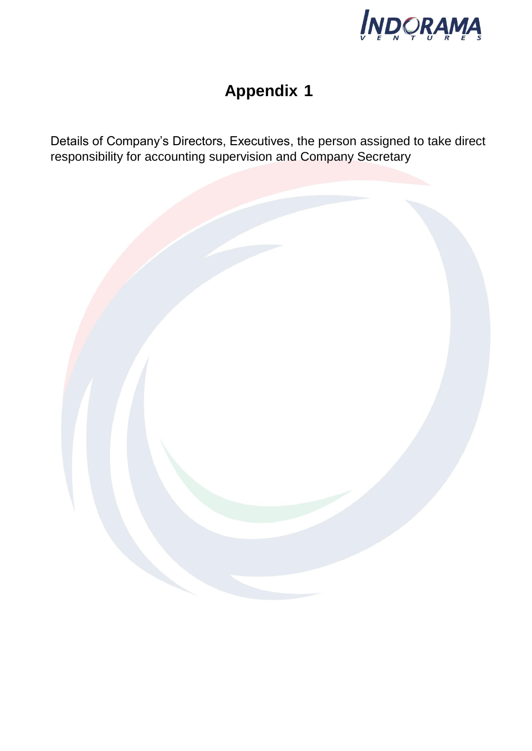

## **Appendix 1**

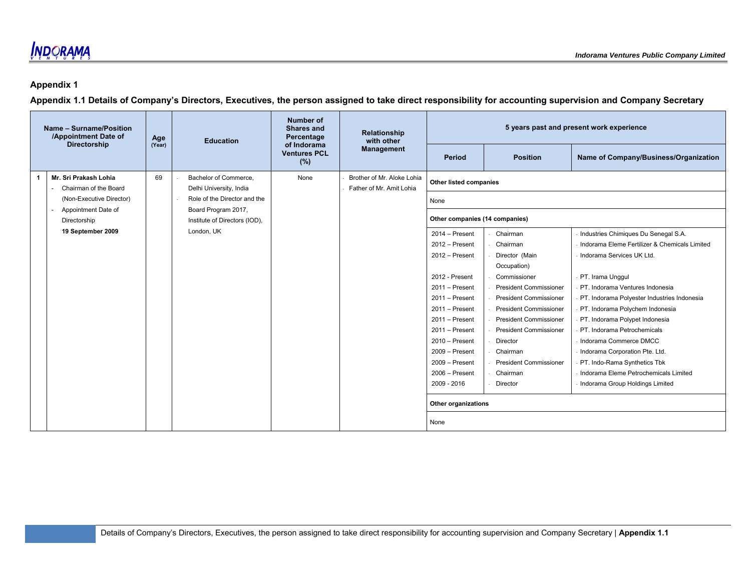### **Appendix 1**

| Name - Surname/Position<br>/Appointment Date of | Age    | <b>Education</b>                                     | Number of<br>Shares and<br>Percentage     | <b>Relationship</b><br>with other                      |                                  |                               | 5 years past and present work experience      |
|-------------------------------------------------|--------|------------------------------------------------------|-------------------------------------------|--------------------------------------------------------|----------------------------------|-------------------------------|-----------------------------------------------|
| <b>Directorship</b>                             | (Year) |                                                      | of Indorama<br><b>Ventures PCL</b><br>(%) | <b>Management</b>                                      | Period                           | <b>Position</b>               | Name of Company/Business/Organization         |
| Mr. Sri Prakash Lohia<br>Chairman of the Board  | 69     | Bachelor of Commerce.<br>Delhi University, India     | None                                      | Brother of Mr. Aloke Lohia<br>Father of Mr. Amit Lohia | Other listed companies           |                               |                                               |
| (Non-Executive Director)                        |        | Role of the Director and the                         |                                           |                                                        | None                             |                               |                                               |
| Appointment Date of<br>Directorship             |        | Board Program 2017,<br>Institute of Directors (IOD), |                                           |                                                        | Other companies (14 companies)   |                               |                                               |
| 19 September 2009                               |        | London, UK                                           |                                           |                                                        | 2014 - Present                   | Chairman                      | Industries Chimiques Du Senegal S.A.          |
|                                                 |        |                                                      |                                           |                                                        | 2012 - Present<br>Chairman       |                               | Indorama Eleme Fertilizer & Chemicals Limited |
|                                                 |        |                                                      |                                           |                                                        | 2012 - Present<br>Director (Main |                               | Indorama Services UK Ltd.                     |
|                                                 |        |                                                      |                                           |                                                        | Occupation)                      |                               |                                               |
|                                                 |        |                                                      |                                           |                                                        | 2012 - Present                   | Commissioner                  | PT. Irama Unggul                              |
|                                                 |        |                                                      |                                           |                                                        | $2011 -$ Present                 | <b>President Commissioner</b> | PT. Indorama Ventures Indonesia               |
|                                                 |        |                                                      |                                           |                                                        | $2011 -$ Present                 | <b>President Commissioner</b> | PT. Indorama Polyester Industries Indonesia   |
|                                                 |        |                                                      |                                           |                                                        | $2011 -$ Present                 | <b>President Commissioner</b> | PT. Indorama Polychem Indonesia               |
|                                                 |        |                                                      |                                           |                                                        | $2011 -$ Present                 | <b>President Commissioner</b> | PT. Indorama Polypet Indonesia                |
|                                                 |        |                                                      |                                           |                                                        | 2011 - Present                   | <b>President Commissioner</b> | PT. Indorama Petrochemicals                   |
|                                                 |        |                                                      |                                           |                                                        | 2010 - Present                   | Director                      | Indorama Commerce DMCC                        |
|                                                 |        |                                                      |                                           |                                                        | 2009 - Present                   | Chairman                      | Indorama Corporation Pte. Ltd.                |
|                                                 |        |                                                      |                                           |                                                        | $2009 -$ Present                 | <b>President Commissioner</b> | PT. Indo-Rama Synthetics Tbk                  |
|                                                 |        |                                                      |                                           |                                                        | 2006 - Present                   | Chairman                      | Indorama Eleme Petrochemicals Limited         |
|                                                 |        |                                                      |                                           |                                                        | 2009 - 2016                      | Director                      | Indorama Group Holdings Limited               |
|                                                 |        |                                                      |                                           |                                                        | Other organizations              |                               |                                               |
|                                                 |        |                                                      |                                           |                                                        | None                             |                               |                                               |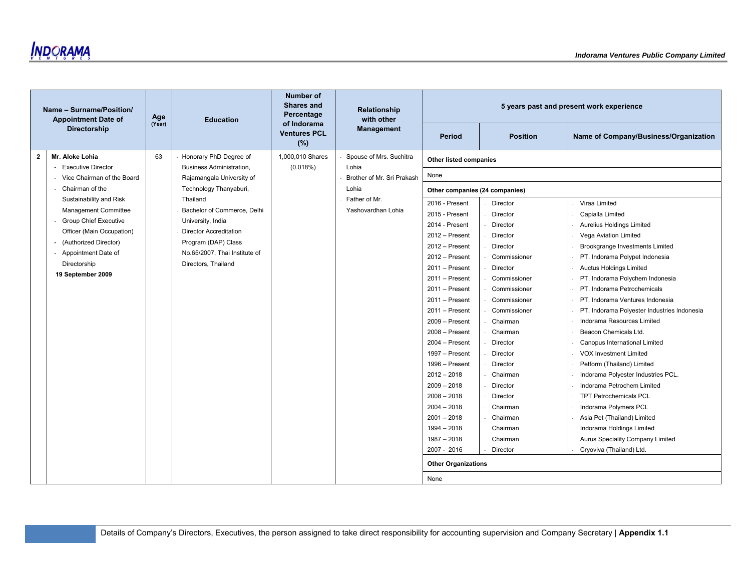**INDORAMA** 

|              | Name - Surname/Position/<br><b>Appointment Date of</b> | Age<br>(Year) | <b>Education</b>                                     | <b>Number of</b><br><b>Shares and</b><br>Percentage<br>of Indorama | Relationship<br>with other |                                |                 | 5 years past and present work experience    |  |
|--------------|--------------------------------------------------------|---------------|------------------------------------------------------|--------------------------------------------------------------------|----------------------------|--------------------------------|-----------------|---------------------------------------------|--|
|              | Directorship                                           |               |                                                      | <b>Ventures PCL</b><br>(%)                                         | <b>Management</b>          | Period                         | <b>Position</b> | Name of Company/Business/Organization       |  |
| $\mathbf{2}$ | Mr. Aloke Lohia                                        | 63            | Honorary PhD Degree of                               | 1,000,010 Shares                                                   | Spouse of Mrs. Suchitra    | Other listed companies         |                 |                                             |  |
|              | <b>Executive Director</b>                              |               | <b>Business Administration,</b>                      | (0.018%)                                                           | Lohia                      |                                |                 |                                             |  |
|              | - Vice Chairman of the Board                           |               | Rajamangala University of                            |                                                                    | Brother of Mr. Sri Prakash | None                           |                 |                                             |  |
|              | Chairman of the                                        |               | Technology Thanyaburi,                               |                                                                    | Lohia                      | Other companies (24 companies) |                 |                                             |  |
|              | Sustainability and Risk                                |               | Thailand                                             |                                                                    | Father of Mr.              | 2016 - Present                 | Director        | Viraa Limited                               |  |
|              | Management Committee                                   |               | Bachelor of Commerce, Delhi                          |                                                                    | Yashovardhan Lohia         | 2015 - Present                 | Director        | Capialla Limited                            |  |
|              | <b>Group Chief Executive</b>                           |               | University, India                                    |                                                                    |                            | 2014 - Present                 | Director        | <b>Aurelius Holdings Limited</b>            |  |
|              | Officer (Main Occupation)                              |               | <b>Director Accreditation</b>                        |                                                                    |                            | 2012 - Present                 | Director        | Vega Aviation Limited                       |  |
|              | (Authorized Director)                                  |               | Program (DAP) Class                                  |                                                                    |                            | $2012 -$ Present               | Director        | Brookgrange Investments Limited             |  |
|              | Appointment Date of<br>Directorship                    |               | No.65/2007, Thai Institute of<br>Directors, Thailand |                                                                    |                            | 2012 - Present                 | Commissioner    | PT. Indorama Polypet Indonesia              |  |
|              | 19 September 2009                                      |               |                                                      |                                                                    |                            | $2011 -$ Present               | Director        | <b>Auctus Holdings Limited</b>              |  |
|              |                                                        |               |                                                      |                                                                    |                            | $2011 -$ Present               | Commissioner    | PT. Indorama Polychem Indonesia             |  |
|              |                                                        |               |                                                      |                                                                    |                            | $2011 -$ Present               | Commissioner    | PT. Indorama Petrochemicals                 |  |
|              |                                                        |               |                                                      |                                                                    |                            | $2011 -$ Present               | Commissioner    | PT. Indorama Ventures Indonesia             |  |
|              |                                                        |               |                                                      |                                                                    |                            | $2011 -$ Present               | Commissioner    | PT. Indorama Polyester Industries Indonesia |  |
|              |                                                        |               |                                                      |                                                                    |                            | 2009 - Present                 | Chairman        | Indorama Resources Limited                  |  |
|              |                                                        |               |                                                      |                                                                    |                            | 2008 - Present                 | Chairman        | Beacon Chemicals Ltd.                       |  |
|              |                                                        |               |                                                      |                                                                    |                            | $2004 -$ Present               | Director        | Canopus International Limited               |  |
|              |                                                        |               |                                                      |                                                                    |                            | 1997 - Present                 | Director        | <b>VOX Investment Limited</b>               |  |
|              |                                                        |               |                                                      |                                                                    |                            | 1996 - Present                 | Director        | Petform (Thailand) Limited                  |  |
|              |                                                        |               |                                                      |                                                                    |                            | $2012 - 2018$                  | Chairman        | Indorama Polyester Industries PCL.          |  |
|              |                                                        |               |                                                      |                                                                    |                            | $2009 - 2018$                  | Director        | Indorama Petrochem Limited                  |  |
|              |                                                        |               |                                                      |                                                                    |                            | $2008 - 2018$                  | Director        | <b>TPT Petrochemicals PCL</b>               |  |
|              |                                                        |               |                                                      |                                                                    |                            | $2004 - 2018$                  | Chairman        | Indorama Polymers PCL                       |  |
|              |                                                        |               |                                                      |                                                                    |                            | $2001 - 2018$                  | Chairman        | Asia Pet (Thailand) Limited                 |  |
|              |                                                        |               |                                                      |                                                                    |                            | $1994 - 2018$                  | Chairman        | Indorama Holdings Limited                   |  |
|              |                                                        |               |                                                      |                                                                    |                            | $1987 - 2018$                  | Chairman        | <b>Aurus Speciality Company Limited</b>     |  |
|              |                                                        |               |                                                      |                                                                    |                            | 2007 - 2016                    | Director        | Cryoviva (Thailand) Ltd.                    |  |
|              |                                                        |               |                                                      |                                                                    |                            | <b>Other Organizations</b>     |                 |                                             |  |
|              |                                                        |               |                                                      |                                                                    |                            | None                           |                 |                                             |  |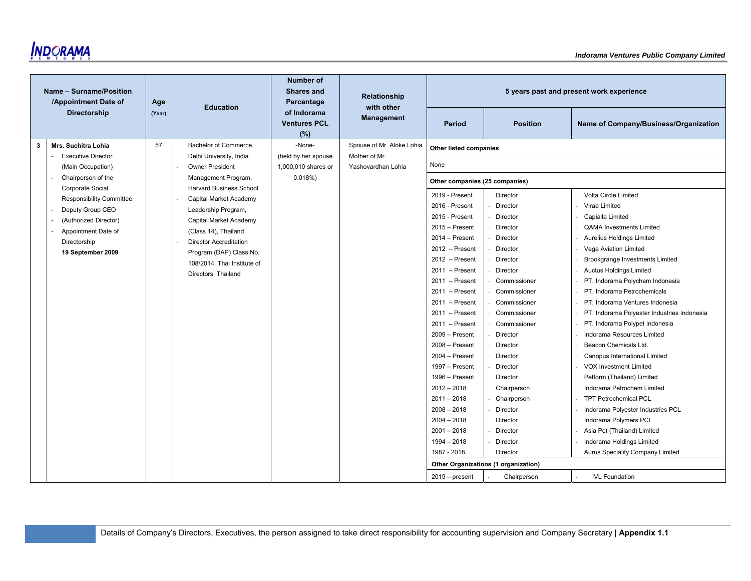

|   | Name - Surname/Position<br>/Appointment Date of | Age    | <b>Education</b>                               | <b>Number of</b><br><b>Shares and</b><br>Percentage | <b>Relationship</b><br>with other |                                |                                      | 5 years past and present work experience    |
|---|-------------------------------------------------|--------|------------------------------------------------|-----------------------------------------------------|-----------------------------------|--------------------------------|--------------------------------------|---------------------------------------------|
|   | <b>Directorship</b>                             | (Year) |                                                | of Indorama<br><b>Ventures PCL</b><br>(%)           | <b>Management</b>                 | <b>Period</b>                  | <b>Position</b>                      | Name of Company/Business/Organization       |
| 3 | Mrs. Suchitra Lohia                             | 57     | Bachelor of Commerce,                          | -None-                                              | Spouse of Mr. Aloke Lohia         | <b>Other listed companies</b>  |                                      |                                             |
|   | <b>Executive Director</b>                       |        | Delhi University, India                        | (held by her spouse                                 | Mother of Mr.                     |                                |                                      |                                             |
|   | (Main Occupation)                               |        | <b>Owner President</b>                         | 1,000,010 shares or                                 | Yashovardhan Lohia                | None                           |                                      |                                             |
|   | Chairperson of the<br>Corporate Social          |        | Management Program,<br>Harvard Business School | 0.018%                                              |                                   | Other companies (25 companies) |                                      |                                             |
|   | <b>Responsibility Committee</b>                 |        | Capital Market Academy                         |                                                     |                                   | 2019 - Present                 | Director                             | Volta Circle Limited                        |
|   | Deputy Group CEO                                |        | Leadership Program,                            |                                                     |                                   | 2016 - Present                 | Director                             | Viraa Limited                               |
|   | (Authorized Director)                           |        | Capital Market Academy                         |                                                     |                                   | 2015 - Present                 | Director                             | Capialla Limited                            |
|   | Appointment Date of                             |        | (Class 14), Thailand                           |                                                     |                                   | $2015 -$ Present               | Director                             | <b>QAMA Investments Limited</b>             |
|   | Directorship                                    |        | <b>Director Accreditation</b>                  |                                                     |                                   | $2014 -$ Present               | Director                             | Aurelius Holdings Limited                   |
|   | 19 September 2009                               |        | Program (DAP) Class No.                        |                                                     |                                   | $2012$ - Present               | Director                             | Vega Aviation Limited                       |
|   |                                                 |        | 108/2014, Thai Institute of                    |                                                     |                                   | $2012$ - Present               | Director                             | Brookgrange Investments Limited             |
|   |                                                 |        | Directors, Thailand                            |                                                     |                                   | $2011$ - Present               | Director                             | Auctus Holdings Limited                     |
|   |                                                 |        |                                                |                                                     |                                   | $2011$ - Present               | Commissioner                         | PT. Indorama Polychem Indonesia             |
|   |                                                 |        |                                                |                                                     |                                   | $2011 -$ Present               | Commissioner                         | PT. Indorama Petrochemicals                 |
|   |                                                 |        |                                                |                                                     |                                   | 2011 - Present                 | Commissioner                         | PT. Indorama Ventures Indonesia             |
|   |                                                 |        |                                                |                                                     |                                   | $2011$ - Present               | Commissioner                         | PT. Indorama Polyester Industries Indonesia |
|   |                                                 |        |                                                |                                                     |                                   | $2011$ - Present               | Commissioner                         | PT. Indorama Polypet Indonesia              |
|   |                                                 |        |                                                |                                                     |                                   | 2009 - Present                 | Director                             | Indorama Resources Limited                  |
|   |                                                 |        |                                                |                                                     |                                   | $2008 -$ Present               | Director                             | Beacon Chemicals Ltd.                       |
|   |                                                 |        |                                                |                                                     |                                   | $2004 -$ Present               | Director                             | Canopus International Limited               |
|   |                                                 |        |                                                |                                                     |                                   | 1997 - Present                 | Director                             | <b>VOX Investment Limited</b>               |
|   |                                                 |        |                                                |                                                     |                                   | 1996 - Present                 | Director                             | Petform (Thailand) Limited                  |
|   |                                                 |        |                                                |                                                     |                                   | $2012 - 2018$                  | Chairperson                          | Indorama Petrochem Limited                  |
|   |                                                 |        |                                                |                                                     |                                   | $2011 - 2018$                  | Chairperson                          | <b>TPT Petrochemical PCL</b>                |
|   |                                                 |        |                                                |                                                     |                                   | $2008 - 2018$                  | Director                             | Indorama Polyester Industries PCL           |
|   |                                                 |        |                                                |                                                     |                                   | $2004 - 2018$                  | Director                             | Indorama Polymers PCL                       |
|   |                                                 |        |                                                |                                                     |                                   | $2001 - 2018$                  | Director                             | Asia Pet (Thailand) Limited                 |
|   |                                                 |        |                                                |                                                     |                                   | $1994 - 2018$                  | Director                             | Indorama Holdings Limited                   |
|   |                                                 |        |                                                |                                                     |                                   | 1987 - 2018                    | Director                             | Aurus Speciality Company Limited            |
|   |                                                 |        |                                                |                                                     |                                   |                                | Other Organizations (1 organization) |                                             |
|   |                                                 |        |                                                |                                                     |                                   | $2019 - present$               | Chairperson                          | <b>IVL Foundation</b>                       |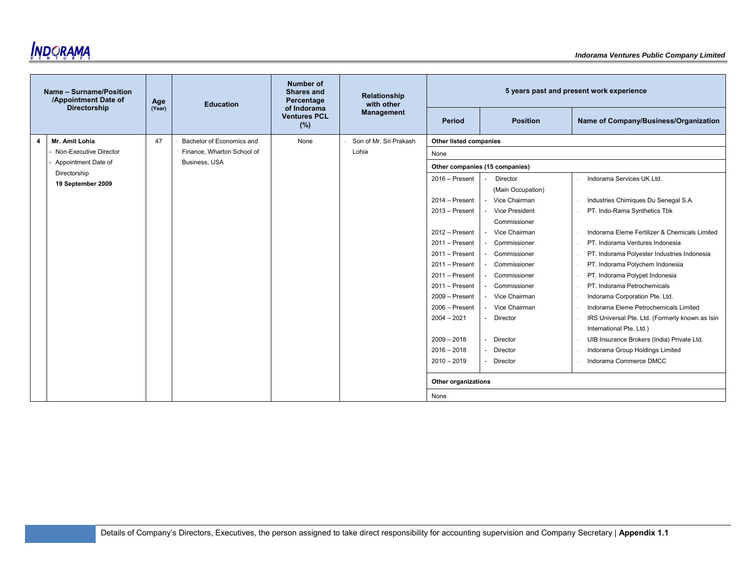

|   | Name - Surname/Position<br>/Appointment Date of<br><b>Directorship</b> | Age    | <b>Education</b>           | Number of<br><b>Shares and</b><br>Percentage<br>of Indorama | <b>Relationship</b><br>with other |                             |                                | 5 years past and present work experience                                    |
|---|------------------------------------------------------------------------|--------|----------------------------|-------------------------------------------------------------|-----------------------------------|-----------------------------|--------------------------------|-----------------------------------------------------------------------------|
|   |                                                                        | (Year) |                            | <b>Ventures PCL</b><br>(%)                                  | <b>Management</b>                 | Period                      | <b>Position</b>                | Name of Company/Business/Organization                                       |
| 4 | Mr. Amit Lohia                                                         | 47     | Bachelor of Economics and  | None                                                        | Son of Mr. Sri Prakash            | Other listed companies      |                                |                                                                             |
|   | Non-Executive Director                                                 |        | Finance, Wharton School of |                                                             | Lohia                             | None                        |                                |                                                                             |
|   | Appointment Date of                                                    |        | Business, USA              |                                                             |                                   |                             | Other companies (15 companies) |                                                                             |
|   | Directorship<br>19 September 2009                                      |        |                            |                                                             |                                   | $2016 -$ Present            | Director<br>(Main Occupation)  | Indorama Services UK Ltd.                                                   |
|   |                                                                        |        |                            |                                                             |                                   | $2014 -$ Present            | Vice Chairman                  | Industries Chimiques Du Senegal S.A.                                        |
|   |                                                                        |        |                            |                                                             |                                   | $2013 -$ Present            | Vice President                 | PT. Indo-Rama Synthetics Tbk                                                |
|   |                                                                        |        |                            |                                                             |                                   |                             | Commissioner                   |                                                                             |
|   |                                                                        |        |                            |                                                             |                                   | $2012 -$ Present            | Vice Chairman                  | Indorama Eleme Fertilizer & Chemicals Limited                               |
|   |                                                                        |        |                            |                                                             |                                   | $2011 -$ Present            | Commissioner                   | PT. Indorama Ventures Indonesia                                             |
|   |                                                                        |        |                            |                                                             |                                   | $2011 -$ Present            | Commissioner                   | PT. Indorama Polyester Industries Indonesia                                 |
|   |                                                                        |        |                            |                                                             |                                   | $2011 -$ Present            | Commissioner                   | PT. Indorama Polychem Indonesia                                             |
|   |                                                                        |        |                            |                                                             |                                   | $2011 -$ Present            | Commissioner                   | PT. Indorama Polypet Indonesia                                              |
|   |                                                                        |        |                            |                                                             |                                   | $2011 -$ Present            | Commissioner                   | PT. Indorama Petrochemicals                                                 |
|   |                                                                        |        |                            |                                                             |                                   | $2009 -$ Present            | - Vice Chairman                | Indorama Corporation Pte. Ltd.                                              |
|   |                                                                        |        |                            |                                                             |                                   | $2006 -$ Present            | Vice Chairman                  | Indorama Eleme Petrochemicals Limited                                       |
|   |                                                                        |        |                            |                                                             |                                   | $2004 - 2021$               | <b>Director</b>                | IRS Universal Pte. Ltd. (Formerly known as Isin<br>International Pte. Ltd.) |
|   |                                                                        |        |                            |                                                             |                                   | $2009 - 2018$               | Director                       | UIB Insurance Brokers (India) Private Ltd.                                  |
|   |                                                                        |        |                            |                                                             |                                   | $2016 - 2018$               | Director                       | Indorama Group Holdings Limited                                             |
|   |                                                                        |        |                            |                                                             |                                   | $2010 - 2019$               | Director                       | Indorama Commerce DMCC                                                      |
|   |                                                                        |        |                            |                                                             |                                   | Other organizations<br>None |                                |                                                                             |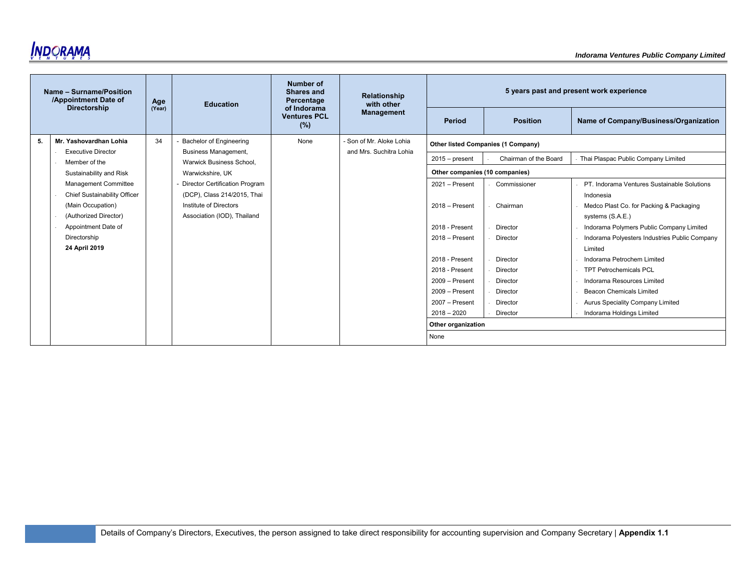

|    | Name - Surname/Position<br>/Appointment Date of<br><b>Directorship</b> | Age<br>(Year) | <b>Education</b>                                               | Number of<br><b>Shares and</b><br>Percentage<br>of Indorama | Relationship<br>with other |                                |                                    | 5 years past and present work experience      |  |
|----|------------------------------------------------------------------------|---------------|----------------------------------------------------------------|-------------------------------------------------------------|----------------------------|--------------------------------|------------------------------------|-----------------------------------------------|--|
|    |                                                                        |               |                                                                | <b>Ventures PCL</b><br>(%)                                  | <b>Management</b>          | Period                         | <b>Position</b>                    | Name of Company/Business/Organization         |  |
| 5. | Mr. Yashovardhan Lohia                                                 | 34            | <b>Bachelor of Engineering</b>                                 | None                                                        | - Son of Mr. Aloke Lohia   |                                | Other listed Companies (1 Company) |                                               |  |
|    | <b>Executive Director</b><br>Member of the                             |               | <b>Business Management,</b><br><b>Warwick Business School.</b> |                                                             | and Mrs. Suchitra Lohia    | $2015 - present$               | Chairman of the Board              | Thai Plaspac Public Company Limited           |  |
|    | Sustainability and Risk                                                |               | Warwickshire, UK                                               |                                                             |                            | Other companies (10 companies) |                                    |                                               |  |
|    | <b>Management Committee</b>                                            |               | <b>Director Certification Program</b>                          |                                                             |                            | $2021 -$ Present               | Commissioner                       | PT. Indorama Ventures Sustainable Solutions   |  |
|    | Chief Sustainability Officer                                           |               | (DCP), Class 214/2015, Thai                                    |                                                             |                            |                                |                                    | Indonesia                                     |  |
|    | (Main Occupation)                                                      |               | Institute of Directors                                         |                                                             |                            | $2018 -$ Present               | Chairman                           | Medco Plast Co. for Packing & Packaging       |  |
|    | (Authorized Director)                                                  |               | Association (IOD), Thailand                                    |                                                             |                            |                                |                                    | systems (S.A.E.)                              |  |
|    | Appointment Date of                                                    |               |                                                                |                                                             |                            | 2018 - Present                 | Director                           | Indorama Polymers Public Company Limited      |  |
|    | Directorship                                                           |               |                                                                |                                                             |                            | $2018 -$ Present               | Director                           | Indorama Polyesters Industries Public Company |  |
|    | 24 April 2019                                                          |               |                                                                |                                                             |                            |                                |                                    | Limited                                       |  |
|    |                                                                        |               |                                                                |                                                             |                            | 2018 - Present                 | Director                           | Indorama Petrochem Limited                    |  |
|    |                                                                        |               |                                                                |                                                             |                            | 2018 - Present                 | Director                           | <b>TPT Petrochemicals PCL</b>                 |  |
|    |                                                                        |               |                                                                |                                                             |                            | $2009 -$ Present               | Director                           | Indorama Resources Limited                    |  |
|    |                                                                        |               |                                                                |                                                             |                            | $2009 -$ Present               | Director                           | <b>Beacon Chemicals Limited</b>               |  |
|    |                                                                        |               |                                                                |                                                             |                            | $2007 -$ Present               | Director                           | Aurus Speciality Company Limited              |  |
|    |                                                                        |               |                                                                |                                                             |                            | $2018 - 2020$                  | Director                           | Indorama Holdings Limited                     |  |
|    |                                                                        |               |                                                                |                                                             |                            | Other organization             |                                    |                                               |  |
|    |                                                                        |               |                                                                |                                                             |                            | None                           |                                    |                                               |  |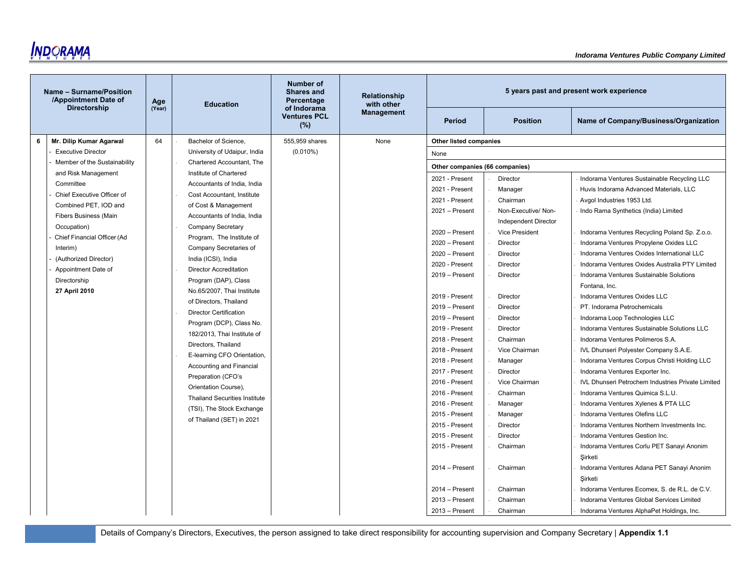

| Name - Surname/Position<br>/Appointment Date of | Age    | <b>Education</b>                                     | <b>Number of</b><br><b>Shares and</b><br>Percentage | Relationship<br>with other |                                |                             | 5 years past and present work experience             |
|-------------------------------------------------|--------|------------------------------------------------------|-----------------------------------------------------|----------------------------|--------------------------------|-----------------------------|------------------------------------------------------|
| <b>Directorship</b>                             | (Year) |                                                      | of Indorama<br><b>Ventures PCL</b><br>(%)           | <b>Management</b>          | <b>Period</b>                  | <b>Position</b>             | Name of Company/Business/Organization                |
| Mr. Dilip Kumar Agarwal<br>6                    | 64     | Bachelor of Science,                                 | 555,959 shares                                      | None                       | Other listed companies         |                             |                                                      |
| <b>Executive Director</b>                       |        | University of Udaipur, India                         | $(0.010\%)$                                         |                            | None                           |                             |                                                      |
| Member of the Sustainability                    |        | Chartered Accountant, The                            |                                                     |                            | Other companies (66 companies) |                             |                                                      |
| and Risk Management                             |        | Institute of Chartered                               |                                                     |                            | 2021 - Present                 | Director                    | Indorama Ventures Sustainable Recycling LLC          |
| Committee                                       |        | Accountants of India, India                          |                                                     |                            | 2021 - Present                 | Manager                     | Huvis Indorama Advanced Materials, LLC               |
| Chief Executive Officer of                      |        | Cost Accountant. Institute                           |                                                     |                            | 2021 - Present                 | Chairman                    | Avgol Industries 1953 Ltd.                           |
| Combined PET, IOD and                           |        | of Cost & Management                                 |                                                     |                            | 2021 - Present                 | Non-Executive/Non-          | Indo Rama Synthetics (India) Limited                 |
| <b>Fibers Business (Main</b>                    |        | Accountants of India, India                          |                                                     |                            |                                | <b>Independent Director</b> |                                                      |
| Occupation)                                     |        | <b>Company Secretary</b>                             |                                                     |                            | $2020 -$ Present               | Vice President              | Indorama Ventures Recycling Poland Sp. Z.o.o.        |
| Chief Financial Officer (Ad                     |        | Program, The Institute of                            |                                                     |                            | $2020 -$ Present               | Director                    | Indorama Ventures Propylene Oxides LLC               |
| Interim)<br>(Authorized Director)               |        | Company Secretaries of                               |                                                     |                            | $2020 -$ Present               | Director                    | Indorama Ventures Oxides International LLC           |
| Appointment Date of                             |        | India (ICSI), India<br><b>Director Accreditation</b> |                                                     |                            | 2020 - Present                 | Director                    | Indorama Ventures Oxides Australia PTY Limited       |
| Directorship                                    |        | Program (DAP), Class                                 |                                                     |                            | 2019 - Present                 | Director                    | Indorama Ventures Sustainable Solutions              |
| 27 April 2010                                   |        | No.65/2007, Thai Institute                           |                                                     |                            |                                |                             | Fontana, Inc.                                        |
|                                                 |        | of Directors, Thailand                               |                                                     |                            | 2019 - Present                 | Director                    | Indorama Ventures Oxides LLC                         |
|                                                 |        | <b>Director Certification</b>                        |                                                     |                            | 2019 - Present                 | Director                    | PT. Indorama Petrochemicals                          |
|                                                 |        | Program (DCP), Class No.                             |                                                     |                            | $2019 -$ Present               | Director                    | Indorama Loop Technologies LLC                       |
|                                                 |        | 182/2013, Thai Institute of                          |                                                     |                            | 2019 - Present                 | Director                    | Indorama Ventures Sustainable Solutions LLC          |
|                                                 |        | Directors, Thailand                                  |                                                     |                            | 2018 - Present                 | Chairman                    | Indorama Ventures Polimeros S.A.                     |
|                                                 |        | E-learning CFO Orientation,                          |                                                     |                            | 2018 - Present                 | Vice Chairman               | IVL Dhunseri Polyester Company S.A.E.                |
|                                                 |        | Accounting and Financial                             |                                                     |                            | 2018 - Present                 | Manager                     | Indorama Ventures Corpus Christi Holding LLC         |
|                                                 |        | Preparation (CFO's                                   |                                                     |                            | 2017 - Present                 | Director                    | Indorama Ventures Exporter Inc.                      |
|                                                 |        | Orientation Course),                                 |                                                     |                            | 2016 - Present                 | Vice Chairman               | IVL Dhunseri Petrochem Industries Private Limited    |
|                                                 |        | <b>Thailand Securities Institute</b>                 |                                                     |                            | 2016 - Present                 | Chairman                    | Indorama Ventures Quimica S.L.U.                     |
|                                                 |        | (TSI), The Stock Exchange                            |                                                     |                            | 2016 - Present                 | Manager                     | Indorama Ventures Xylenes & PTA LLC                  |
|                                                 |        | of Thailand (SET) in 2021                            |                                                     |                            | 2015 - Present                 | Manager                     | Indorama Ventures Olefins LLC                        |
|                                                 |        |                                                      |                                                     |                            | 2015 - Present                 | Director                    | Indorama Ventures Northern Investments Inc.          |
|                                                 |        |                                                      |                                                     |                            | 2015 - Present                 | Director                    | Indorama Ventures Gestion Inc.                       |
|                                                 |        |                                                      |                                                     |                            | 2015 - Present                 | Chairman                    | Indorama Ventures Corlu PET Sanayi Anonim            |
|                                                 |        |                                                      |                                                     |                            |                                |                             | Sirketi                                              |
|                                                 |        |                                                      |                                                     |                            | $2014 -$ Present               | Chairman                    | Indorama Ventures Adana PET Sanayi Anonim<br>Şirketi |
|                                                 |        |                                                      |                                                     |                            | $2014 -$ Present               | Chairman                    | Indorama Ventures Ecomex, S. de R.L. de C.V.         |
|                                                 |        |                                                      |                                                     |                            | $2013 -$ Present               | Chairman                    | Indorama Ventures Global Services Limited            |
|                                                 |        |                                                      |                                                     |                            | $2013 -$ Present               | Chairman                    | Indorama Ventures AlphaPet Holdings, Inc.            |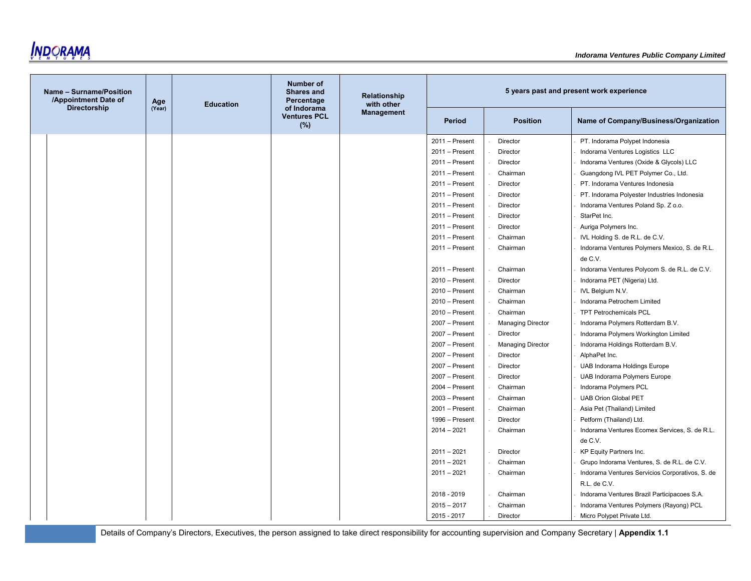

| Name - Surname/Position<br>/Appointment Date of | Age    | <b>Education</b> | <b>Number of</b><br><b>Shares and</b><br>Percentage | Relationship<br>with other |                  |                          | 5 years past and present work experience                 |
|-------------------------------------------------|--------|------------------|-----------------------------------------------------|----------------------------|------------------|--------------------------|----------------------------------------------------------|
| <b>Directorship</b>                             | (Year) |                  | of Indorama<br><b>Ventures PCL</b><br>(%)           | <b>Management</b>          | <b>Period</b>    | <b>Position</b>          | Name of Company/Business/Organization                    |
|                                                 |        |                  |                                                     |                            | 2011 - Present   | Director                 | PT. Indorama Polypet Indonesia                           |
|                                                 |        |                  |                                                     |                            | $2011 -$ Present | Director                 | Indorama Ventures Logistics LLC                          |
|                                                 |        |                  |                                                     |                            | $2011 -$ Present | Director                 | Indorama Ventures (Oxide & Glycols) LLC                  |
|                                                 |        |                  |                                                     |                            | $2011 -$ Present | Chairman                 | Guangdong IVL PET Polymer Co., Ltd.                      |
|                                                 |        |                  |                                                     |                            | $2011 -$ Present | Director                 | PT. Indorama Ventures Indonesia                          |
|                                                 |        |                  |                                                     |                            | $2011 -$ Present | Director                 | PT. Indorama Polyester Industries Indonesia              |
|                                                 |        |                  |                                                     |                            | $2011 -$ Present | Director                 | Indorama Ventures Poland Sp. Z o.o.                      |
|                                                 |        |                  |                                                     |                            | $2011 -$ Present | Director                 | StarPet Inc.                                             |
|                                                 |        |                  |                                                     |                            | $2011 -$ Present | Director                 | Auriga Polymers Inc.                                     |
|                                                 |        |                  |                                                     |                            | $2011 -$ Present | Chairman                 | IVL Holding S. de R.L. de C.V.                           |
|                                                 |        |                  |                                                     |                            | $2011 -$ Present | Chairman                 | Indorama Ventures Polymers Mexico, S. de R.L.<br>de C.V. |
|                                                 |        |                  |                                                     |                            | $2011 -$ Present | Chairman                 | Indorama Ventures Polycom S. de R.L. de C.V.             |
|                                                 |        |                  |                                                     |                            | $2010 -$ Present | Director                 | Indorama PET (Nigeria) Ltd.                              |
|                                                 |        |                  |                                                     |                            | $2010 -$ Present | Chairman                 | IVL Belgium N.V.                                         |
|                                                 |        |                  |                                                     |                            | $2010 -$ Present | Chairman                 | Indorama Petrochem Limited                               |
|                                                 |        |                  |                                                     |                            | $2010 -$ Present | Chairman                 | <b>TPT Petrochemicals PCL</b>                            |
|                                                 |        |                  |                                                     |                            | 2007 - Present   | <b>Managing Director</b> | Indorama Polymers Rotterdam B.V.                         |
|                                                 |        |                  |                                                     |                            | 2007 - Present   | Director                 | Indorama Polymers Workington Limited                     |
|                                                 |        |                  |                                                     |                            | 2007 - Present   | <b>Managing Director</b> | Indorama Holdings Rotterdam B.V.                         |
|                                                 |        |                  |                                                     |                            | $2007 -$ Present | Director                 | AlphaPet Inc.                                            |
|                                                 |        |                  |                                                     |                            | 2007 - Present   | Director                 | UAB Indorama Holdings Europe                             |
|                                                 |        |                  |                                                     |                            | 2007 - Present   | Director                 | UAB Indorama Polymers Europe                             |
|                                                 |        |                  |                                                     |                            | $2004 -$ Present | Chairman                 | Indorama Polymers PCL                                    |
|                                                 |        |                  |                                                     |                            | $2003 -$ Present | Chairman                 | <b>UAB Orion Global PET</b>                              |
|                                                 |        |                  |                                                     |                            | $2001 -$ Present | Chairman                 | Asia Pet (Thailand) Limited                              |
|                                                 |        |                  |                                                     |                            | 1996 - Present   | Director                 | Petform (Thailand) Ltd.                                  |
|                                                 |        |                  |                                                     |                            | $2014 - 2021$    | Chairman                 | Indorama Ventures Ecomex Services, S. de R.L.            |
|                                                 |        |                  |                                                     |                            |                  |                          | de C.V.                                                  |
|                                                 |        |                  |                                                     |                            | $2011 - 2021$    | Director                 | KP Equity Partners Inc.                                  |
|                                                 |        |                  |                                                     |                            | $2011 - 2021$    | Chairman                 | Grupo Indorama Ventures, S. de R.L. de C.V.              |
|                                                 |        |                  |                                                     |                            | $2011 - 2021$    | Chairman                 | Indorama Ventures Servicios Corporativos, S. de          |
|                                                 |        |                  |                                                     |                            |                  |                          | R.L. de C.V.                                             |
|                                                 |        |                  |                                                     |                            | 2018 - 2019      | Chairman                 | Indorama Ventures Brazil Participacoes S.A.              |
|                                                 |        |                  |                                                     |                            | $2015 - 2017$    | Chairman                 | Indorama Ventures Polymers (Rayong) PCL                  |
|                                                 |        |                  |                                                     |                            | 2015 - 2017      | Director                 | Micro Polypet Private Ltd.                               |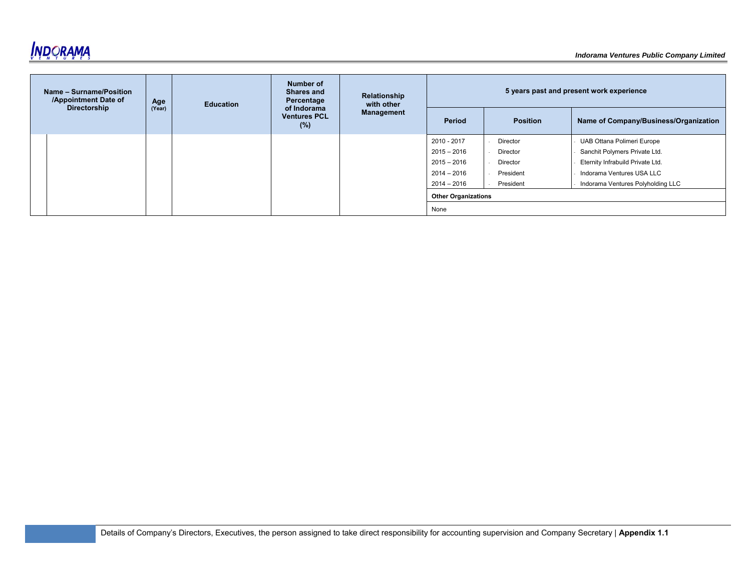

| Name - Surname/Position<br>/Appointment Date of | Age    | <b>Education</b> | Number of<br><b>Shares and</b><br>Percentage<br>of Indorama<br><b>Ventures PCL</b><br>(%) | Relationship<br>with other<br>Management | 5 years past and present work experience |                 |                                       |
|-------------------------------------------------|--------|------------------|-------------------------------------------------------------------------------------------|------------------------------------------|------------------------------------------|-----------------|---------------------------------------|
| <b>Directorship</b>                             | (Year) |                  |                                                                                           |                                          | Period                                   | <b>Position</b> | Name of Company/Business/Organization |
|                                                 |        |                  |                                                                                           |                                          | 2010 - 2017                              | Director        | UAB Ottana Polimeri Europe            |
|                                                 |        |                  |                                                                                           |                                          | $2015 - 2016$                            | Director        | Sanchit Polymers Private Ltd.         |
|                                                 |        |                  |                                                                                           |                                          | $2015 - 2016$                            | Director        | Eternity Infrabuild Private Ltd.      |
|                                                 |        |                  |                                                                                           |                                          | $2014 - 2016$                            | President       | Indorama Ventures USA LLC             |
|                                                 |        |                  |                                                                                           |                                          | $2014 - 2016$                            | President       | Indorama Ventures Polyholding LLC     |
|                                                 |        |                  |                                                                                           |                                          | <b>Other Organizations</b>               |                 |                                       |
|                                                 |        |                  |                                                                                           |                                          | None                                     |                 |                                       |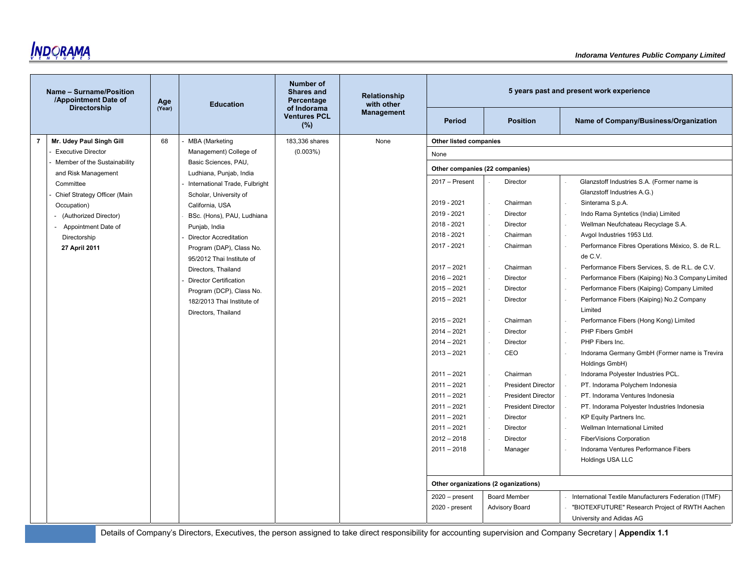

|   | Name - Surname/Position<br>/Appointment Date of | Age    | <b>Education</b>                                      | Number of<br><b>Shares and</b><br>Percentage | Relationship<br>with other |                                |                                      | 5 years past and present work experience                        |
|---|-------------------------------------------------|--------|-------------------------------------------------------|----------------------------------------------|----------------------------|--------------------------------|--------------------------------------|-----------------------------------------------------------------|
|   | Directorship                                    | (Year) |                                                       | of Indorama<br><b>Ventures PCL</b><br>(%)    | <b>Management</b>          | <b>Period</b>                  | <b>Position</b>                      | Name of Company/Business/Organization                           |
| 7 | Mr. Udey Paul Singh Gill                        | 68     | <b>MBA</b> (Marketing                                 | 183,336 shares                               | None                       | Other listed companies         |                                      |                                                                 |
|   | <b>Executive Director</b>                       |        | Management) College of                                | (0.003%)                                     |                            | None                           |                                      |                                                                 |
|   | Member of the Sustainability                    |        | Basic Sciences, PAU,                                  |                                              |                            | Other companies (22 companies) |                                      |                                                                 |
|   | and Risk Management                             |        | Ludhiana, Punjab, India                               |                                              |                            |                                |                                      |                                                                 |
|   | Committee                                       |        | International Trade, Fulbright                        |                                              |                            | 2017 - Present                 | Director                             | Glanzstoff Industries S.A. (Former name is                      |
|   | Chief Strategy Officer (Main                    |        | Scholar, University of                                |                                              |                            | 2019 - 2021                    |                                      | Glanzstoff Industries A.G.)                                     |
|   | Occupation)                                     |        | California, USA                                       |                                              |                            | 2019 - 2021                    | Chairman<br>Director                 | Sinterama S.p.A.<br>Indo Rama Syntetics (India) Limited         |
|   | (Authorized Director)                           |        | BSc. (Hons), PAU, Ludhiana                            |                                              |                            | 2018 - 2021                    | Director                             | Wellman Neufchateau Recyclage S.A.                              |
|   | Appointment Date of<br>$\blacksquare$           |        | Punjab, India                                         |                                              |                            | 2018 - 2021                    | Chairman                             | Avgol Industries 1953 Ltd.                                      |
|   | Directorship                                    |        | <b>Director Accreditation</b>                         |                                              |                            | 2017 - 2021                    | Chairman                             | Performance Fibres Operations México, S. de R.L.                |
|   | 27 April 2011                                   |        | Program (DAP), Class No.<br>95/2012 Thai Institute of |                                              |                            |                                |                                      | de C.V.                                                         |
|   |                                                 |        | Directors, Thailand                                   |                                              |                            | $2017 - 2021$                  | Chairman                             | Performance Fibers Services, S. de R.L. de C.V.                 |
|   |                                                 |        | <b>Director Certification</b>                         |                                              |                            | $2016 - 2021$                  | Director                             | Performance Fibers (Kaiping) No.3 Company Limited               |
|   |                                                 |        | Program (DCP), Class No.                              |                                              |                            | $2015 - 2021$                  | Director                             | Performance Fibers (Kaiping) Company Limited                    |
|   |                                                 |        | 182/2013 Thai Institute of<br>Directors, Thailand     |                                              |                            | $2015 - 2021$                  | Director                             | Performance Fibers (Kaiping) No.2 Company<br>Limited            |
|   |                                                 |        |                                                       |                                              |                            | $2015 - 2021$                  | Chairman                             | Performance Fibers (Hong Kong) Limited                          |
|   |                                                 |        |                                                       |                                              |                            | $2014 - 2021$                  | Director                             | PHP Fibers GmbH                                                 |
|   |                                                 |        |                                                       |                                              |                            | $2014 - 2021$                  | Director                             | PHP Fibers Inc.                                                 |
|   |                                                 |        |                                                       |                                              |                            | $2013 - 2021$                  | CEO                                  | Indorama Germany GmbH (Former name is Trevira<br>Holdings GmbH) |
|   |                                                 |        |                                                       |                                              |                            | $2011 - 2021$                  | Chairman                             | Indorama Polyester Industries PCL.                              |
|   |                                                 |        |                                                       |                                              |                            | $2011 - 2021$                  | <b>President Director</b>            | PT. Indorama Polychem Indonesia                                 |
|   |                                                 |        |                                                       |                                              |                            | $2011 - 2021$                  | <b>President Director</b>            | PT. Indorama Ventures Indonesia                                 |
|   |                                                 |        |                                                       |                                              |                            | $2011 - 2021$                  | <b>President Director</b>            | PT. Indorama Polyester Industries Indonesia                     |
|   |                                                 |        |                                                       |                                              |                            | $2011 - 2021$                  | Director                             | KP Equity Partners Inc.                                         |
|   |                                                 |        |                                                       |                                              |                            | $2011 - 2021$                  | <b>Director</b>                      | Wellman International Limited                                   |
|   |                                                 |        |                                                       |                                              |                            | $2012 - 2018$                  | Director                             | FiberVisions Corporation                                        |
|   |                                                 |        |                                                       |                                              |                            | $2011 - 2018$                  | Manager                              | Indorama Ventures Performance Fibers                            |
|   |                                                 |        |                                                       |                                              |                            |                                |                                      | Holdings USA LLC                                                |
|   |                                                 |        |                                                       |                                              |                            |                                | Other organizations (2 oganizations) |                                                                 |
|   |                                                 |        |                                                       |                                              |                            | $2020 - present$               | <b>Board Member</b>                  | International Textile Manufacturers Federation (ITMF)           |
|   |                                                 |        |                                                       |                                              |                            | 2020 - present                 | <b>Advisory Board</b>                | "BIOTEXFUTURE" Research Project of RWTH Aachen                  |
|   |                                                 |        |                                                       |                                              |                            |                                |                                      | University and Adidas AG                                        |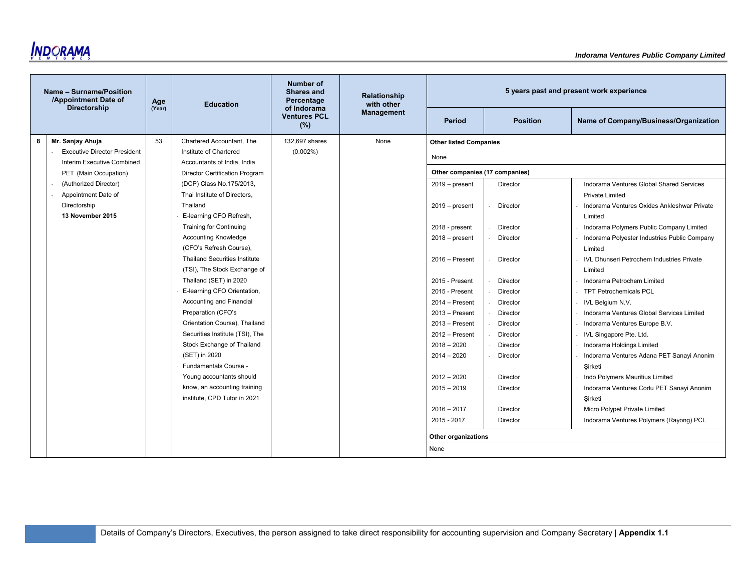

|   | Name - Surname/Position<br>/Appointment Date of | Age    | <b>Education</b>                     | <b>Number of</b><br>Shares and<br>Percentage | Relationship<br>with other |                                |                 | 5 years past and present work experience         |
|---|-------------------------------------------------|--------|--------------------------------------|----------------------------------------------|----------------------------|--------------------------------|-----------------|--------------------------------------------------|
|   | <b>Directorship</b>                             | (Year) |                                      | of Indorama<br><b>Ventures PCL</b><br>(%)    | <b>Management</b>          | <b>Period</b>                  | <b>Position</b> | Name of Company/Business/Organization            |
| 8 | Mr. Sanjay Ahuja                                | 53     | Chartered Accountant, The            | 132,697 shares                               | None                       | <b>Other listed Companies</b>  |                 |                                                  |
|   | <b>Executive Director President</b>             |        | Institute of Chartered               | $(0.002\%)$                                  |                            | None                           |                 |                                                  |
|   | Interim Executive Combined                      |        | Accountants of India, India          |                                              |                            |                                |                 |                                                  |
|   | PET (Main Occupation)                           |        | Director Certification Program       |                                              |                            | Other companies (17 companies) |                 |                                                  |
|   | (Authorized Director)                           |        | (DCP) Class No.175/2013,             |                                              |                            | $2019$ – present               | Director        | Indorama Ventures Global Shared Services         |
|   | Appointment Date of                             |        | Thai Institute of Directors,         |                                              |                            |                                |                 | Private Limited                                  |
|   | Directorship                                    |        | Thailand                             |                                              |                            | $2019 - present$               | Director        | Indorama Ventures Oxides Ankleshwar Private      |
|   | 13 November 2015                                |        | E-learning CFO Refresh,              |                                              |                            |                                |                 | Limited                                          |
|   |                                                 |        | <b>Training for Continuing</b>       |                                              |                            | 2018 - present                 | Director        | Indorama Polymers Public Company Limited         |
|   |                                                 |        | <b>Accounting Knowledge</b>          |                                              |                            | $2018 - present$               | Director        | Indorama Polyester Industries Public Company     |
|   |                                                 |        | (CFO's Refresh Course),              |                                              |                            |                                |                 | Limited                                          |
|   |                                                 |        | <b>Thailand Securities Institute</b> |                                              |                            | $2016 -$ Present               | Director        | <b>IVL Dhunseri Petrochem Industries Private</b> |
|   |                                                 |        | (TSI), The Stock Exchange of         |                                              |                            |                                |                 | Limited                                          |
|   |                                                 |        | Thailand (SET) in 2020               |                                              |                            | 2015 - Present                 | Director        | Indorama Petrochem Limited                       |
|   |                                                 |        | E-learning CFO Orientation,          |                                              |                            | 2015 - Present                 | Director        | <b>TPT Petrochemicals PCL</b>                    |
|   |                                                 |        | Accounting and Financial             |                                              |                            | $2014 -$ Present               | Director        | <b>IVL Belgium N.V.</b>                          |
|   |                                                 |        | Preparation (CFO's                   |                                              |                            | $2013 -$ Present               | Director        | Indorama Ventures Global Services Limited        |
|   |                                                 |        | Orientation Course), Thailand        |                                              |                            | $2013 -$ Present               | Director        | Indorama Ventures Europe B.V.                    |
|   |                                                 |        | Securities Institute (TSI), The      |                                              |                            | $2012 -$ Present               | Director        | IVL Singapore Pte. Ltd.                          |
|   |                                                 |        | Stock Exchange of Thailand           |                                              |                            | $2018 - 2020$                  | Director        | Indorama Holdings Limited                        |
|   |                                                 |        | (SET) in 2020                        |                                              |                            | $2014 - 2020$                  | Director        | Indorama Ventures Adana PET Sanayi Anonim        |
|   |                                                 |        | Fundamentals Course -                |                                              |                            |                                |                 | Şirketi                                          |
|   |                                                 |        | Young accountants should             |                                              |                            | $2012 - 2020$                  | Director        | Indo Polymers Mauritius Limited                  |
|   |                                                 |        | know, an accounting training         |                                              |                            | $2015 - 2019$                  | Director        | Indorama Ventures Corlu PET Sanayi Anonim        |
|   |                                                 |        | institute, CPD Tutor in 2021         |                                              |                            |                                |                 | Sirketi                                          |
|   |                                                 |        |                                      |                                              |                            | $2016 - 2017$                  | Director        | Micro Polypet Private Limited                    |
|   |                                                 |        |                                      |                                              |                            | 2015 - 2017                    | Director        | Indorama Ventures Polymers (Rayong) PCL          |
|   |                                                 |        |                                      |                                              |                            | Other organizations            |                 |                                                  |
|   |                                                 |        |                                      |                                              |                            | None                           |                 |                                                  |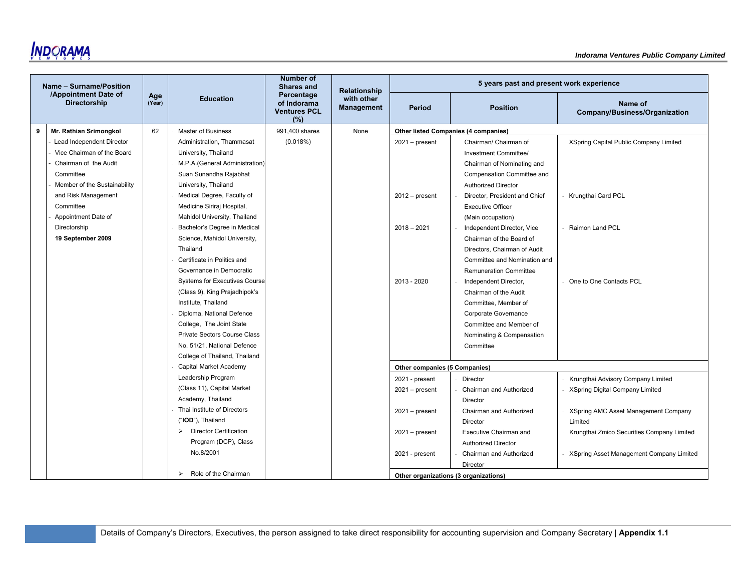|   | Name - Surname/Position                     |               |                                                        | <b>Number of</b><br><b>Shares and</b>                   | Relationship                    |                                       | 5 years past and present work experience    |                                            |
|---|---------------------------------------------|---------------|--------------------------------------------------------|---------------------------------------------------------|---------------------------------|---------------------------------------|---------------------------------------------|--------------------------------------------|
|   | /Appointment Date of<br><b>Directorship</b> | Age<br>(Year) | <b>Education</b>                                       | Percentage<br>of Indorama<br><b>Ventures PCL</b><br>(%) | with other<br><b>Management</b> | Period                                | <b>Position</b>                             | Name of<br>Company/Business/Organization   |
| 9 | Mr. Rathian Srimongkol                      | 62            | Master of Business                                     | 991,400 shares                                          | None                            |                                       | <b>Other listed Companies (4 companies)</b> |                                            |
|   | Lead Independent Director                   |               | Administration, Thammasat                              | (0.018%)                                                |                                 | $2021 - present$                      | Chairman/ Chairman of                       | XSpring Capital Public Company Limited     |
|   | Vice Chairman of the Board                  |               | University, Thailand                                   |                                                         |                                 |                                       | Investment Committee/                       |                                            |
|   | Chairman of the Audit                       |               | M.P.A. (General Administration)                        |                                                         |                                 |                                       | Chairman of Nominating and                  |                                            |
|   | Committee                                   |               | Suan Sunandha Rajabhat                                 |                                                         |                                 |                                       | Compensation Committee and                  |                                            |
|   | Member of the Sustainability                |               | University, Thailand                                   |                                                         |                                 |                                       | <b>Authorized Director</b>                  |                                            |
|   | and Risk Management                         |               | Medical Degree, Faculty of                             |                                                         |                                 | $2012 - present$                      | Director, President and Chief               | Krungthai Card PCL                         |
|   | Committee                                   |               | Medicine Siriraj Hospital,                             |                                                         |                                 |                                       | <b>Executive Officer</b>                    |                                            |
|   | Appointment Date of                         |               | Mahidol University, Thailand                           |                                                         |                                 |                                       | (Main occupation)                           |                                            |
|   | Directorship                                |               | Bachelor's Degree in Medical                           |                                                         |                                 | $2018 - 2021$                         | Independent Director, Vice                  | Raimon Land PCL                            |
|   | 19 September 2009                           |               | Science, Mahidol University,                           |                                                         |                                 |                                       | Chairman of the Board of                    |                                            |
|   |                                             |               | Thailand                                               |                                                         |                                 |                                       | Directors, Chairman of Audit                |                                            |
|   |                                             |               | Certificate in Politics and                            |                                                         |                                 |                                       | Committee and Nomination and                |                                            |
|   |                                             |               | Governance in Democratic                               |                                                         |                                 |                                       | <b>Remuneration Committee</b>               |                                            |
|   |                                             |               | <b>Systems for Executives Course</b>                   |                                                         |                                 | 2013 - 2020                           | Independent Director,                       | One to One Contacts PCL                    |
|   |                                             |               | (Class 9), King Prajadhipok's                          |                                                         |                                 |                                       | Chairman of the Audit                       |                                            |
|   |                                             |               | Institute, Thailand                                    |                                                         |                                 |                                       | Committee, Member of                        |                                            |
|   |                                             |               | Diploma, National Defence                              |                                                         |                                 |                                       | Corporate Governance                        |                                            |
|   |                                             |               | College, The Joint State                               |                                                         |                                 |                                       | Committee and Member of                     |                                            |
|   |                                             |               | Private Sectors Course Class                           |                                                         |                                 |                                       | Nominating & Compensation                   |                                            |
|   |                                             |               | No. 51/21, National Defence                            |                                                         |                                 |                                       | Committee                                   |                                            |
|   |                                             |               | College of Thailand, Thailand                          |                                                         |                                 |                                       |                                             |                                            |
|   |                                             |               | Capital Market Academy                                 |                                                         |                                 | Other companies (5 Companies)         |                                             |                                            |
|   |                                             |               | Leadership Program                                     |                                                         |                                 | 2021 - present                        | Director                                    | Krungthai Advisory Company Limited         |
|   |                                             |               | (Class 11), Capital Market                             |                                                         |                                 | $2021 - present$                      | Chairman and Authorized                     | <b>XSpring Digital Company Limited</b>     |
|   |                                             |               | Academy, Thailand                                      |                                                         |                                 |                                       | Director                                    |                                            |
|   |                                             |               | Thai Institute of Directors                            |                                                         |                                 | $2021 - present$                      | Chairman and Authorized                     | XSpring AMC Asset Management Company       |
|   |                                             |               | ("IOD"), Thailand                                      |                                                         |                                 |                                       | Director                                    | Limited                                    |
|   |                                             |               | <b>Director Certification</b><br>$\blacktriangleright$ |                                                         |                                 | $2021 - present$                      | Executive Chairman and                      | Krungthai Zmico Securities Company Limited |
|   |                                             |               | Program (DCP), Class                                   |                                                         |                                 |                                       | <b>Authorized Director</b>                  |                                            |
|   |                                             |               | No.8/2001                                              |                                                         |                                 | 2021 - present                        | Chairman and Authorized                     | XSpring Asset Management Company Limited   |
|   |                                             |               |                                                        |                                                         |                                 |                                       | Director                                    |                                            |
|   |                                             |               | Role of the Chairman<br>$\blacktriangleright$          |                                                         |                                 | Other organizations (3 organizations) |                                             |                                            |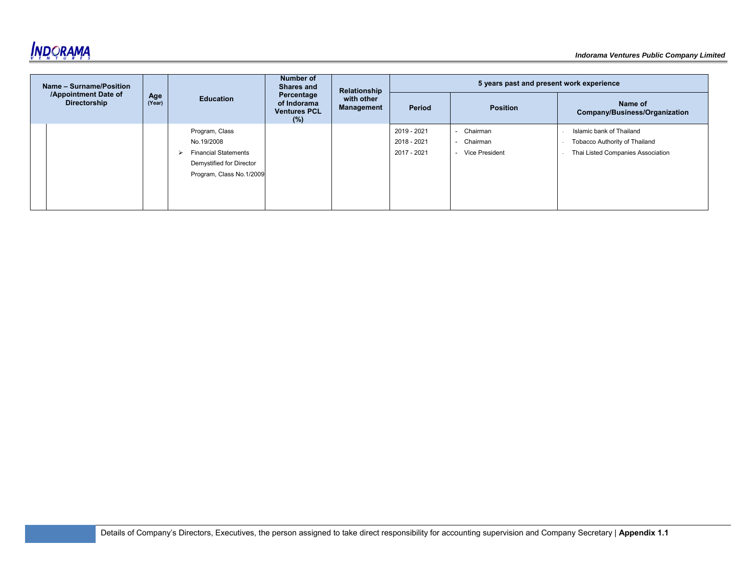

| Name - Surname/Position                     |               |                                                                                                                     | Number of<br><b>Shares and</b><br>Percentage<br><b>Education</b><br>of Indorama<br><b>Ventures PCL</b><br>$(\%)$ | Relationship<br>with other<br>Management | 5 years past and present work experience  |                                                           |                                                                                                |  |
|---------------------------------------------|---------------|---------------------------------------------------------------------------------------------------------------------|------------------------------------------------------------------------------------------------------------------|------------------------------------------|-------------------------------------------|-----------------------------------------------------------|------------------------------------------------------------------------------------------------|--|
| /Appointment Date of<br><b>Directorship</b> | Age<br>(Year) |                                                                                                                     |                                                                                                                  |                                          | Period                                    | <b>Position</b>                                           | Name of<br>Company/Business/Organization                                                       |  |
|                                             |               | Program, Class<br>No.19/2008<br><b>Financial Statements</b><br>Demystified for Director<br>Program, Class No.1/2009 |                                                                                                                  |                                          | 2019 - 2021<br>2018 - 2021<br>2017 - 2021 | - Chairman<br>Chairman<br>$\sim$<br><b>Vice President</b> | Islamic bank of Thailand<br>Tobacco Authority of Thailand<br>Thai Listed Companies Association |  |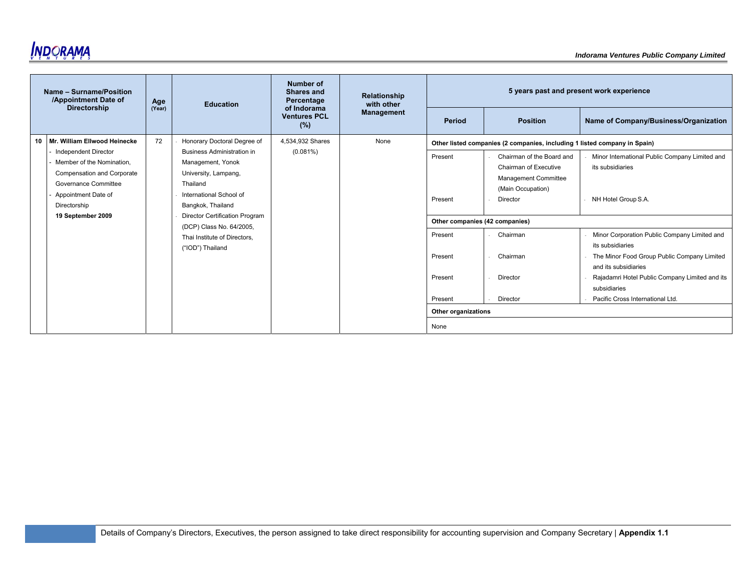

| Name - Surname/Position<br>/Appointment Date of<br><b>Directorship</b>                                                                                                            | Age                                                                                                                                                                                                                                                                                | <b>Number of</b><br><b>Shares and</b><br>Percentage<br><b>Education</b><br>of Indorama | Relationship<br>with other | 5 years past and present work experience             |                                                                                                             |                                                                                                                                                                                                           |                                       |
|-----------------------------------------------------------------------------------------------------------------------------------------------------------------------------------|------------------------------------------------------------------------------------------------------------------------------------------------------------------------------------------------------------------------------------------------------------------------------------|----------------------------------------------------------------------------------------|----------------------------|------------------------------------------------------|-------------------------------------------------------------------------------------------------------------|-----------------------------------------------------------------------------------------------------------------------------------------------------------------------------------------------------------|---------------------------------------|
|                                                                                                                                                                                   | (Year)                                                                                                                                                                                                                                                                             |                                                                                        | <b>Ventures PCL</b><br>(%) | <b>Management</b>                                    | Period                                                                                                      | <b>Position</b>                                                                                                                                                                                           | Name of Company/Business/Organization |
| 10 Mr. William Ellwood Heinecke                                                                                                                                                   | 72                                                                                                                                                                                                                                                                                 | Honorary Doctoral Degree of                                                            | 4,534,932 Shares           | None                                                 |                                                                                                             | Other listed companies (2 companies, including 1 listed company in Spain)                                                                                                                                 |                                       |
| <b>Independent Director</b><br>Member of the Nomination.<br><b>Compensation and Corporate</b><br>Governance Committee<br>Appointment Date of<br>Directorship<br>19 September 2009 | $(0.081\%)$<br><b>Business Administration in</b><br>Management, Yonok<br>University, Lampang,<br>Thailand<br>International School of<br>Bangkok, Thailand<br><b>Director Certification Program</b><br>(DCP) Class No. 64/2005.<br>Thai Institute of Directors.<br>("IOD") Thailand |                                                                                        |                            | Present<br>Present<br>Other companies (42 companies) | Chairman of the Board and<br>Chairman of Executive<br>Management Committee<br>(Main Occupation)<br>Director | Minor International Public Company Limited and<br>its subsidiaries<br>NH Hotel Group S.A.                                                                                                                 |                                       |
|                                                                                                                                                                                   |                                                                                                                                                                                                                                                                                    |                                                                                        |                            | Present<br>Present<br>Present                        | Chairman<br>Chairman<br>Director                                                                            | Minor Corporation Public Company Limited and<br>its subsidiaries<br>The Minor Food Group Public Company Limited<br>and its subsidiaries<br>Rajadamri Hotel Public Company Limited and its<br>subsidiaries |                                       |
|                                                                                                                                                                                   |                                                                                                                                                                                                                                                                                    |                                                                                        |                            | Present                                              | Director                                                                                                    | Pacific Cross International Ltd.                                                                                                                                                                          |                                       |
|                                                                                                                                                                                   |                                                                                                                                                                                                                                                                                    |                                                                                        |                            |                                                      | Other organizations                                                                                         |                                                                                                                                                                                                           |                                       |
|                                                                                                                                                                                   |                                                                                                                                                                                                                                                                                    |                                                                                        |                            |                                                      | None                                                                                                        |                                                                                                                                                                                                           |                                       |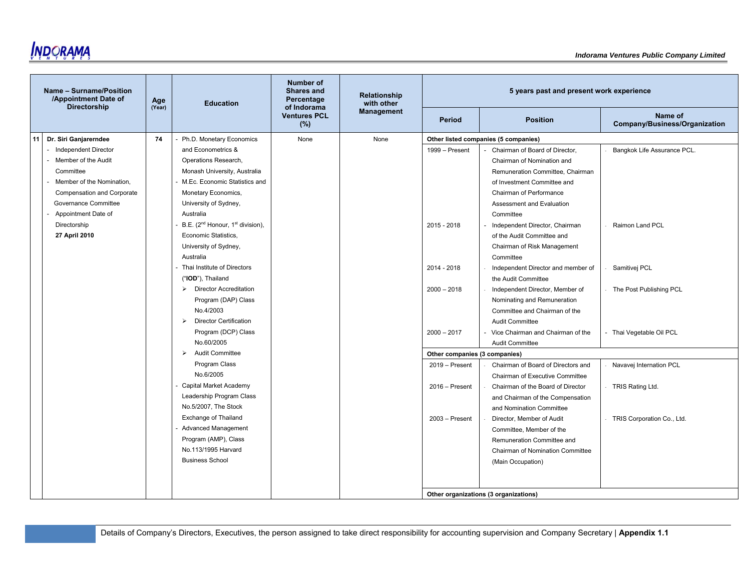

|    | Name - Surname/Position<br>/Appointment Date of<br><b>Directorship</b> | Age<br>(Year) | <b>Education</b>                                         | Number of<br><b>Shares and</b><br>Percentage | <b>Relationship</b><br>with other |                               | 5 years past and present work experience                               |                                          |
|----|------------------------------------------------------------------------|---------------|----------------------------------------------------------|----------------------------------------------|-----------------------------------|-------------------------------|------------------------------------------------------------------------|------------------------------------------|
|    |                                                                        |               |                                                          | of Indorama<br><b>Ventures PCL</b><br>(%)    | <b>Management</b>                 | Period                        | <b>Position</b>                                                        | Name of<br>Company/Business/Organization |
| 11 | Dr. Siri Ganjarerndee<br>- Independent Director                        | 74            | Ph.D. Monetary Economics<br>and Econometrics &           | None                                         | None                              | 1999 - Present                | Other listed companies (5 companies)<br>Chairman of Board of Director, | Bangkok Life Assurance PCL.              |
|    | Member of the Audit                                                    |               | Operations Research,                                     |                                              |                                   |                               | Chairman of Nomination and                                             |                                          |
|    | Committee                                                              |               | Monash University, Australia                             |                                              |                                   |                               | Remuneration Committee, Chairman                                       |                                          |
|    | Member of the Nomination,                                              |               | M.Ec. Economic Statistics and                            |                                              |                                   |                               | of Investment Committee and                                            |                                          |
|    | <b>Compensation and Corporate</b>                                      |               | Monetary Economics,                                      |                                              |                                   |                               | Chairman of Performance                                                |                                          |
|    | Governance Committee                                                   |               | University of Sydney,                                    |                                              |                                   |                               | Assessment and Evaluation                                              |                                          |
|    | Appointment Date of                                                    |               | Australia                                                |                                              |                                   |                               | Committee                                                              |                                          |
|    | Directorship                                                           |               | B.E. (2 <sup>nd</sup> Honour, 1 <sup>st</sup> division), |                                              |                                   | 2015 - 2018                   | Independent Director, Chairman                                         | Raimon Land PCL                          |
|    | 27 April 2010                                                          |               | Economic Statistics,                                     |                                              |                                   |                               | of the Audit Committee and                                             |                                          |
|    |                                                                        |               | University of Sydney,                                    |                                              |                                   |                               | Chairman of Risk Management                                            |                                          |
|    |                                                                        |               | Australia                                                |                                              |                                   |                               | Committee                                                              |                                          |
|    |                                                                        |               | Thai Institute of Directors                              |                                              |                                   | 2014 - 2018                   | Independent Director and member of                                     | Samitivej PCL                            |
|    |                                                                        |               | ("IOD"), Thailand                                        |                                              |                                   |                               | the Audit Committee                                                    |                                          |
|    |                                                                        |               | <b>Director Accreditation</b><br>$\blacktriangleright$   |                                              |                                   | $2000 - 2018$                 | Independent Director, Member of                                        | The Post Publishing PCL                  |
|    |                                                                        |               | Program (DAP) Class                                      |                                              |                                   |                               | Nominating and Remuneration                                            |                                          |
|    |                                                                        |               | No.4/2003                                                |                                              |                                   |                               | Committee and Chairman of the                                          |                                          |
|    |                                                                        |               | $\triangleright$ Director Certification                  |                                              |                                   |                               | <b>Audit Committee</b>                                                 |                                          |
|    |                                                                        |               | Program (DCP) Class                                      |                                              |                                   | $2000 - 2017$                 | Vice Chairman and Chairman of the                                      | - Thai Vegetable Oil PCL                 |
|    |                                                                        |               | No.60/2005                                               |                                              |                                   |                               | <b>Audit Committee</b>                                                 |                                          |
|    |                                                                        |               | $\triangleright$ Audit Committee                         |                                              |                                   | Other companies (3 companies) |                                                                        |                                          |
|    |                                                                        |               | Program Class                                            |                                              |                                   | 2019 - Present                | Chairman of Board of Directors and                                     | Navavej Internation PCL                  |
|    |                                                                        |               | No.6/2005                                                |                                              |                                   |                               | Chairman of Executive Committee                                        |                                          |
|    |                                                                        |               | Capital Market Academy                                   |                                              |                                   | $2016 -$ Present              | Chairman of the Board of Director                                      | TRIS Rating Ltd.                         |
|    |                                                                        |               | Leadership Program Class<br>No.5/2007, The Stock         |                                              |                                   |                               | and Chairman of the Compensation                                       |                                          |
|    |                                                                        |               | Exchange of Thailand                                     |                                              |                                   |                               | and Nomination Committee                                               |                                          |
|    |                                                                        |               | <b>Advanced Management</b>                               |                                              |                                   | $2003 -$ Present              | Director, Member of Audit                                              | TRIS Corporation Co., Ltd.               |
|    |                                                                        |               | Program (AMP), Class                                     |                                              |                                   |                               | Committee, Member of the                                               |                                          |
|    |                                                                        |               | No.113/1995 Harvard                                      |                                              |                                   |                               | Remuneration Committee and<br>Chairman of Nomination Committee         |                                          |
|    |                                                                        |               | <b>Business School</b>                                   |                                              |                                   |                               | (Main Occupation)                                                      |                                          |
|    |                                                                        |               |                                                          |                                              |                                   |                               |                                                                        |                                          |
|    |                                                                        |               |                                                          |                                              |                                   |                               |                                                                        |                                          |
|    |                                                                        |               |                                                          |                                              |                                   |                               | Other organizations (3 organizations)                                  |                                          |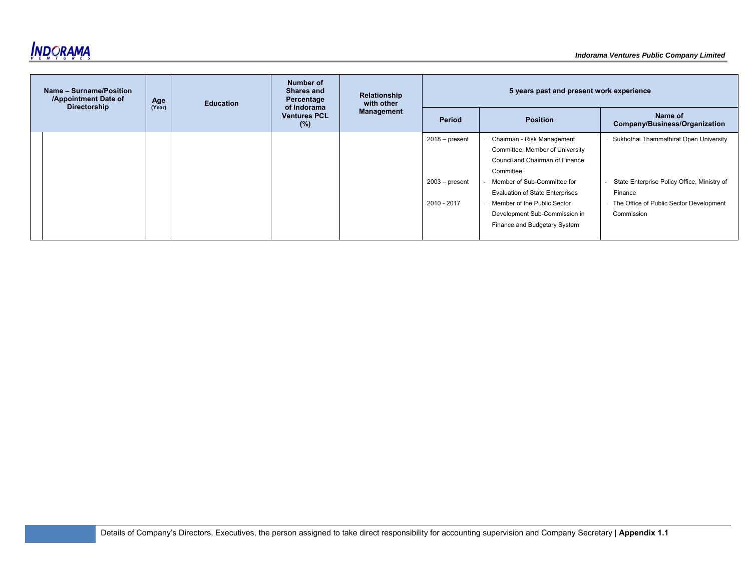

| Name - Surname/Position<br>/Appointment Date of<br><b>Directorship</b> | Age    | <b>Education</b> |                            | Number of<br><b>Shares and</b><br>Relationship<br>Percentage<br>with other<br>of Indorama | 5 years past and present work experience |                                        |                                             |  |
|------------------------------------------------------------------------|--------|------------------|----------------------------|-------------------------------------------------------------------------------------------|------------------------------------------|----------------------------------------|---------------------------------------------|--|
|                                                                        | (Year) |                  | <b>Ventures PCL</b><br>(%) | Management                                                                                | Period                                   | <b>Position</b>                        | Name of<br>Company/Business/Organization    |  |
|                                                                        |        |                  |                            |                                                                                           | $2018 - present$                         | Chairman - Risk Management             | Sukhothai Thammathirat Open University      |  |
|                                                                        |        |                  |                            |                                                                                           |                                          | Committee, Member of University        |                                             |  |
|                                                                        |        |                  |                            |                                                                                           |                                          | Council and Chairman of Finance        |                                             |  |
|                                                                        |        |                  |                            |                                                                                           |                                          | Committee                              |                                             |  |
|                                                                        |        |                  |                            |                                                                                           | $2003 - present$                         | Member of Sub-Committee for            | State Enterprise Policy Office, Ministry of |  |
|                                                                        |        |                  |                            |                                                                                           |                                          | <b>Evaluation of State Enterprises</b> | Finance                                     |  |
|                                                                        |        |                  |                            |                                                                                           | 2010 - 2017                              | Member of the Public Sector            | The Office of Public Sector Development     |  |
|                                                                        |        |                  |                            |                                                                                           |                                          | Development Sub-Commission in          | Commission                                  |  |
|                                                                        |        |                  |                            |                                                                                           |                                          | Finance and Budgetary System           |                                             |  |
|                                                                        |        |                  |                            |                                                                                           |                                          |                                        |                                             |  |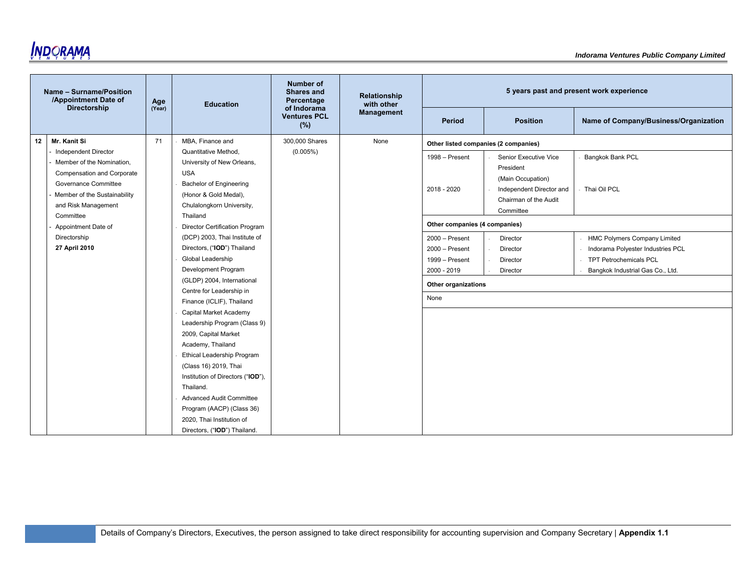

|    | Name - Surname/Position<br>/Appointment Date of | Age    | <b>Education</b>                  | Number of<br><b>Shares and</b><br>Percentage | Relationship<br>with other |                                      |                          | 5 years past and present work experience |
|----|-------------------------------------------------|--------|-----------------------------------|----------------------------------------------|----------------------------|--------------------------------------|--------------------------|------------------------------------------|
|    | <b>Directorship</b>                             | (Year) |                                   | of Indorama<br><b>Ventures PCL</b><br>(%)    | Management                 | <b>Period</b>                        | <b>Position</b>          | Name of Company/Business/Organization    |
| 12 | Mr. Kanit Si                                    | 71     | MBA, Finance and                  | 300,000 Shares                               | None                       | Other listed companies (2 companies) |                          |                                          |
|    | <b>Independent Director</b>                     |        | Quantitative Method,              | (0.005%)                                     |                            | 1998 - Present                       | Senior Executive Vice    | <b>Bangkok Bank PCL</b>                  |
|    | Member of the Nomination,                       |        | University of New Orleans,        |                                              |                            |                                      | President                |                                          |
|    | <b>Compensation and Corporate</b>               |        | <b>USA</b>                        |                                              |                            |                                      | (Main Occupation)        |                                          |
|    | Governance Committee                            |        | <b>Bachelor of Engineering</b>    |                                              |                            | 2018 - 2020                          | Independent Director and | Thai Oil PCL                             |
|    | Member of the Sustainability                    |        | (Honor & Gold Medal),             |                                              |                            |                                      | Chairman of the Audit    |                                          |
|    | and Risk Management                             |        | Chulalongkorn University,         |                                              |                            |                                      | Committee                |                                          |
|    | Committee                                       |        | Thailand                          |                                              |                            |                                      |                          |                                          |
|    | Appointment Date of                             |        | Director Certification Program    |                                              |                            | Other companies (4 companies)        |                          |                                          |
|    | Directorship                                    |        | (DCP) 2003, Thai Institute of     |                                              |                            | $2000 -$ Present                     | Director                 | <b>HMC Polymers Company Limited</b>      |
|    | 27 April 2010                                   |        | Directors, ("IOD") Thailand       |                                              |                            | $2000 -$ Present                     | Director                 | Indorama Polyester Industries PCL        |
|    |                                                 |        | Global Leadership                 |                                              |                            | 1999 - Present                       | Director                 | <b>TPT Petrochemicals PCL</b>            |
|    |                                                 |        | Development Program               |                                              |                            | 2000 - 2019                          | Director                 | Bangkok Industrial Gas Co., Ltd.         |
|    |                                                 |        | (GLDP) 2004, International        |                                              |                            | Other organizations                  |                          |                                          |
|    |                                                 |        | Centre for Leadership in          |                                              |                            | None                                 |                          |                                          |
|    |                                                 |        | Finance (ICLIF), Thailand         |                                              |                            |                                      |                          |                                          |
|    |                                                 |        | Capital Market Academy            |                                              |                            |                                      |                          |                                          |
|    |                                                 |        | Leadership Program (Class 9)      |                                              |                            |                                      |                          |                                          |
|    |                                                 |        | 2009, Capital Market              |                                              |                            |                                      |                          |                                          |
|    |                                                 |        | Academy, Thailand                 |                                              |                            |                                      |                          |                                          |
|    |                                                 |        | <b>Ethical Leadership Program</b> |                                              |                            |                                      |                          |                                          |
|    |                                                 |        | (Class 16) 2019, Thai             |                                              |                            |                                      |                          |                                          |
|    |                                                 |        | Institution of Directors ("IOD"), |                                              |                            |                                      |                          |                                          |
|    |                                                 |        | Thailand.                         |                                              |                            |                                      |                          |                                          |
|    |                                                 |        | <b>Advanced Audit Committee</b>   |                                              |                            |                                      |                          |                                          |
|    |                                                 |        | Program (AACP) (Class 36)         |                                              |                            |                                      |                          |                                          |
|    |                                                 |        | 2020, Thai Institution of         |                                              |                            |                                      |                          |                                          |
|    |                                                 |        | Directors, ("IOD") Thailand.      |                                              |                            |                                      |                          |                                          |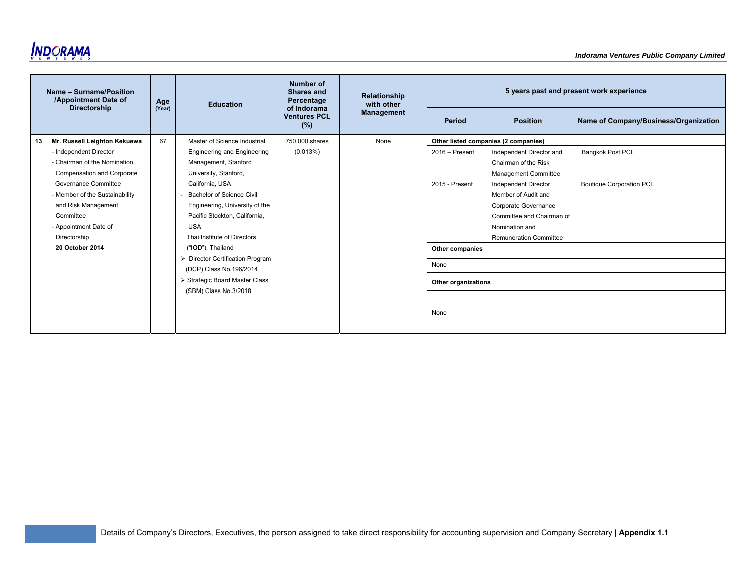

|    | Name - Surname/Position<br>/Appointment Date of | Age    | <b>Education</b>                                            | Number of<br>Shares and<br>Percentage     | Relationship<br>with other |                     |                                      | 5 years past and present work experience |
|----|-------------------------------------------------|--------|-------------------------------------------------------------|-------------------------------------------|----------------------------|---------------------|--------------------------------------|------------------------------------------|
|    | <b>Directorship</b>                             | (Year) |                                                             | of Indorama<br><b>Ventures PCL</b><br>(%) | <b>Management</b>          | Period              | <b>Position</b>                      | Name of Company/Business/Organization    |
| 13 | Mr. Russell Leighton Kekuewa                    | 67     | Master of Science Industrial                                | 750,000 shares                            | None                       |                     | Other listed companies (2 companies) |                                          |
|    | - Independent Director                          |        | <b>Engineering and Engineering</b>                          | (0.013%)                                  |                            | $2016 -$ Present    | Independent Director and             | <b>Bangkok Post PCL</b>                  |
|    | - Chairman of the Nomination.                   |        | Management, Stanford                                        |                                           |                            |                     | Chairman of the Risk                 |                                          |
|    | <b>Compensation and Corporate</b>               |        | University, Stanford,                                       |                                           |                            |                     | <b>Management Committee</b>          |                                          |
|    | Governance Committee                            |        | California, USA                                             |                                           |                            | 2015 - Present      | Independent Director                 | <b>Boutique Corporation PCL</b>          |
|    | - Member of the Sustainability                  |        | Bachelor of Science Civil                                   |                                           |                            |                     | Member of Audit and                  |                                          |
|    | and Risk Management                             |        | Engineering, University of the                              |                                           |                            |                     | Corporate Governance                 |                                          |
|    | Committee                                       |        | Pacific Stockton, California,                               |                                           |                            |                     | Committee and Chairman of            |                                          |
|    | - Appointment Date of                           |        | <b>USA</b>                                                  |                                           |                            |                     | Nomination and                       |                                          |
|    | Directorship                                    |        | Thai Institute of Directors                                 |                                           |                            |                     | <b>Remuneration Committee</b>        |                                          |
|    | 20 October 2014                                 |        | ("IOD"), Thailand                                           |                                           |                            | Other companies     |                                      |                                          |
|    |                                                 |        | > Director Certification Program<br>(DCP) Class No.196/2014 |                                           |                            | None                |                                      |                                          |
|    |                                                 |        | > Strategic Board Master Class<br>(SBM) Class No.3/2018     |                                           |                            | Other organizations |                                      |                                          |
|    |                                                 |        |                                                             |                                           |                            | None                |                                      |                                          |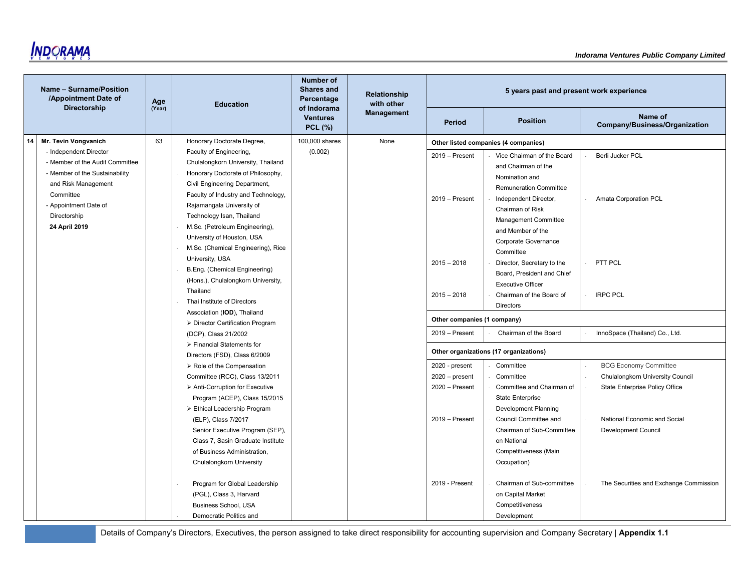

|    | Name - Surname/Position<br>/Appointment Date of | Age    | <b>Education</b>                                                | Number of<br><b>Shares and</b><br>Percentage     | Relationship<br>with other |                             | 5 years past and present work experience |                                          |
|----|-------------------------------------------------|--------|-----------------------------------------------------------------|--------------------------------------------------|----------------------------|-----------------------------|------------------------------------------|------------------------------------------|
|    | <b>Directorship</b>                             | (Year) |                                                                 | of Indorama<br><b>Ventures</b><br><b>PCL (%)</b> | <b>Management</b>          | Period                      | <b>Position</b>                          | Name of<br>Company/Business/Organization |
| 14 | Mr. Tevin Vongvanich                            | 63     | Honorary Doctorate Degree,                                      | 100,000 shares                                   | None                       |                             | Other listed companies (4 companies)     |                                          |
|    | - Independent Director                          |        | Faculty of Engineering,                                         | (0.002)                                          |                            | $2019 -$ Present            | Vice Chairman of the Board               | Berli Jucker PCL                         |
|    | - Member of the Audit Committee                 |        | Chulalongkorn University, Thailand                              |                                                  |                            |                             | and Chairman of the                      |                                          |
|    | - Member of the Sustainability                  |        | Honorary Doctorate of Philosophy,                               |                                                  |                            |                             | Nomination and                           |                                          |
|    | and Risk Management                             |        | Civil Engineering Department,                                   |                                                  |                            |                             | <b>Remuneration Committee</b>            |                                          |
|    | Committee                                       |        | Faculty of Industry and Technology,                             |                                                  |                            | $2019 -$ Present            | Independent Director,                    | Amata Corporation PCL                    |
|    | - Appointment Date of                           |        | Rajamangala University of                                       |                                                  |                            |                             | Chairman of Risk                         |                                          |
|    | Directorship                                    |        | Technology Isan, Thailand                                       |                                                  |                            |                             | Management Committee                     |                                          |
|    | 24 April 2019                                   |        | M.Sc. (Petroleum Engineering),                                  |                                                  |                            |                             | and Member of the                        |                                          |
|    |                                                 |        | University of Houston, USA                                      |                                                  |                            |                             | Corporate Governance                     |                                          |
|    |                                                 |        | M.Sc. (Chemical Engineering), Rice                              |                                                  |                            |                             | Committee                                |                                          |
|    |                                                 |        | University, USA                                                 |                                                  |                            | $2015 - 2018$               | Director, Secretary to the               | PTT PCL                                  |
|    |                                                 |        | B.Eng. (Chemical Engineering)                                   |                                                  |                            |                             | Board. President and Chief               |                                          |
|    |                                                 |        | (Hons.), Chulalongkorn University,                              |                                                  |                            |                             | <b>Executive Officer</b>                 |                                          |
|    |                                                 |        | Thailand<br>Thai Institute of Directors                         |                                                  |                            | $2015 - 2018$               | Chairman of the Board of                 | <b>IRPC PCL</b>                          |
|    |                                                 |        |                                                                 |                                                  |                            |                             | <b>Directors</b>                         |                                          |
|    |                                                 |        | Association (IOD), Thailand<br>> Director Certification Program |                                                  |                            | Other companies (1 company) |                                          |                                          |
|    |                                                 |        | (DCP), Class 21/2002                                            |                                                  |                            | 2019 - Present              | Chairman of the Board                    | InnoSpace (Thailand) Co., Ltd.           |
|    |                                                 |        | > Financial Statements for                                      |                                                  |                            |                             |                                          |                                          |
|    |                                                 |        | Directors (FSD), Class 6/2009                                   |                                                  |                            |                             | Other organizations (17 organizations)   |                                          |
|    |                                                 |        | > Role of the Compensation                                      |                                                  |                            | 2020 - present              | Committee                                | <b>BCG Economy Committee</b>             |
|    |                                                 |        | Committee (RCC), Class 13/2011                                  |                                                  |                            | $2020$ – present            | Committee                                | Chulalongkorn University Council         |
|    |                                                 |        | > Anti-Corruption for Executive                                 |                                                  |                            | $2020 -$ Present            | Committee and Chairman of                | <b>State Enterprise Policy Office</b>    |
|    |                                                 |        | Program (ACEP), Class 15/2015                                   |                                                  |                            |                             | <b>State Enterprise</b>                  |                                          |
|    |                                                 |        | > Ethical Leadership Program                                    |                                                  |                            |                             | <b>Development Planning</b>              |                                          |
|    |                                                 |        | (ELP), Class 7/2017                                             |                                                  |                            | $2019 -$ Present            | Council Committee and                    | National Economic and Social             |
|    |                                                 |        | Senior Executive Program (SEP),                                 |                                                  |                            |                             | Chairman of Sub-Committee                | <b>Development Council</b>               |
|    |                                                 |        | Class 7, Sasin Graduate Institute                               |                                                  |                            |                             | on National                              |                                          |
|    |                                                 |        | of Business Administration,                                     |                                                  |                            |                             | Competitiveness (Main                    |                                          |
|    |                                                 |        | Chulalongkorn University                                        |                                                  |                            |                             | Occupation)                              |                                          |
|    |                                                 |        | Program for Global Leadership                                   |                                                  |                            | 2019 - Present              | Chairman of Sub-committee                | The Securities and Exchange Commission   |
|    |                                                 |        | (PGL), Class 3, Harvard                                         |                                                  |                            |                             | on Capital Market                        |                                          |
|    |                                                 |        | Business School, USA                                            |                                                  |                            |                             | Competitiveness                          |                                          |
|    |                                                 |        | Democratic Politics and                                         |                                                  |                            |                             | Development                              |                                          |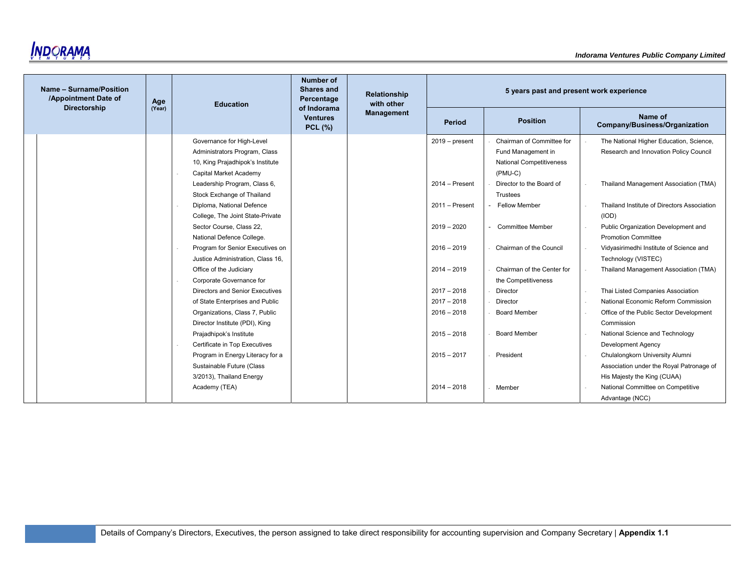

| Name - Surname/Position<br>/Appointment Date of<br><b>Directorship</b> | Age    | <b>Education</b>                                                                                                                                                                       | <b>Number of</b><br>Shares and<br>Percentage<br>of Indorama | Relationship<br>with other | 5 years past and present work experience        |                                                                                                                                           |  |                                                                                                                                             |
|------------------------------------------------------------------------|--------|----------------------------------------------------------------------------------------------------------------------------------------------------------------------------------------|-------------------------------------------------------------|----------------------------|-------------------------------------------------|-------------------------------------------------------------------------------------------------------------------------------------------|--|---------------------------------------------------------------------------------------------------------------------------------------------|
|                                                                        | (Year) |                                                                                                                                                                                        | <b>Ventures</b><br><b>PCL (%)</b>                           | <b>Management</b>          | Period                                          | <b>Position</b>                                                                                                                           |  | Name of<br>Company/Business/Organization                                                                                                    |
|                                                                        |        | Administrators Program, Class<br>10, King Prajadhipok's Institute<br>Capital Market Academy<br>Leadership Program, Class 6,<br>Stock Exchange of Thailand<br>Diploma, National Defence |                                                             |                            | $2014 -$ Present<br>2011 - Present              | Fund Management in<br><b>National Competitiveness</b><br>$(PMU-C)$<br>Director to the Board of<br><b>Trustees</b><br><b>Fellow Member</b> |  | Research and Innovation Policy Council<br>Thailand Management Association (TMA)<br>Thailand Institute of Directors Association              |
|                                                                        |        | College, The Joint State-Private<br>Sector Course, Class 22,<br>National Defence College.                                                                                              |                                                             |                            | $2019 - 2020$                                   | <b>Committee Member</b>                                                                                                                   |  | (IOD)<br>Public Organization Development and<br><b>Promotion Committee</b>                                                                  |
|                                                                        |        | Program for Senior Executives on<br>Justice Administration, Class 16,<br>Office of the Judiciary<br>Corporate Governance for                                                           |                                                             |                            | $2016 - 2019$<br>$2014 - 2019$                  | Chairman of the Council<br>Chairman of the Center for<br>the Competitiveness                                                              |  | Vidyasirimedhi Institute of Science and<br>Technology (VISTEC)<br>Thailand Management Association (TMA)                                     |
|                                                                        |        | <b>Directors and Senior Executives</b><br>of State Enterprises and Public<br>Organizations, Class 7, Public<br>Director Institute (PDI), King                                          |                                                             |                            | $2017 - 2018$<br>$2017 - 2018$<br>$2016 - 2018$ | Director<br>Director<br><b>Board Member</b>                                                                                               |  | Thai Listed Companies Association<br>National Economic Reform Commission<br>Office of the Public Sector Development<br>Commission           |
|                                                                        |        | Prajadhipok's Institute<br>Certificate in Top Executives<br>Program in Energy Literacy for a<br>Sustainable Future (Class                                                              |                                                             |                            | $2015 - 2018$<br>$2015 - 2017$                  | <b>Board Member</b><br>President                                                                                                          |  | National Science and Technology<br><b>Development Agency</b><br>Chulalongkorn University Alumni<br>Association under the Royal Patronage of |
|                                                                        |        | 3/2013), Thailand Energy<br>Academy (TEA)                                                                                                                                              |                                                             |                            | $2014 - 2018$                                   | Member                                                                                                                                    |  | His Majesty the King (CUAA)<br>National Committee on Competitive<br>Advantage (NCC)                                                         |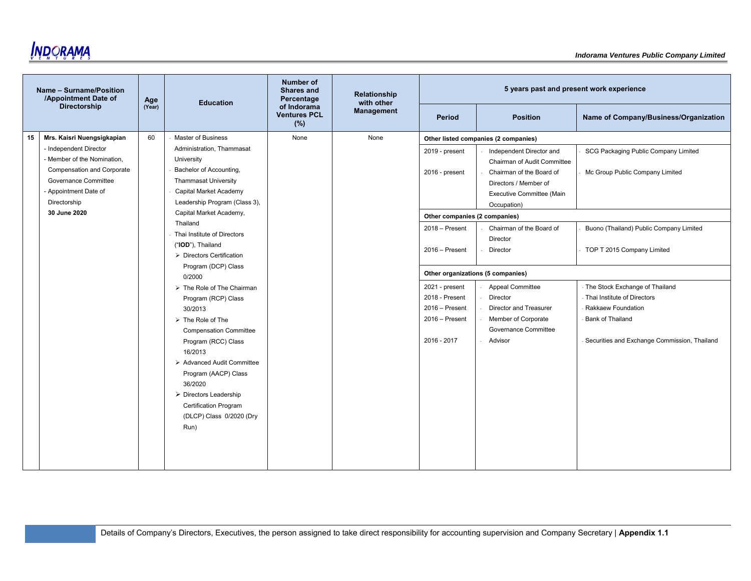

|    | Name - Surname/Position<br>/Appointment Date of | Age    | <b>Education</b>                          | <b>Number of</b><br><b>Shares and</b><br>Percentage | Relationship<br>with other |                                   | 5 years past and present work experience |                                              |
|----|-------------------------------------------------|--------|-------------------------------------------|-----------------------------------------------------|----------------------------|-----------------------------------|------------------------------------------|----------------------------------------------|
|    | <b>Directorship</b>                             | (Year) |                                           | of Indorama<br><b>Ventures PCL</b><br>(%)           | <b>Management</b>          | <b>Period</b>                     | <b>Position</b>                          | Name of Company/Business/Organization        |
| 15 | Mrs. Kaisri Nuengsigkapian                      | 60     | <b>Master of Business</b>                 | None                                                | None                       |                                   | Other listed companies (2 companies)     |                                              |
|    | - Independent Director                          |        | Administration, Thammasat                 |                                                     |                            | 2019 - present                    | Independent Director and                 | SCG Packaging Public Company Limited         |
|    | - Member of the Nomination.                     |        | University                                |                                                     |                            |                                   | Chairman of Audit Committee              |                                              |
|    | <b>Compensation and Corporate</b>               |        | Bachelor of Accounting,                   |                                                     |                            | 2016 - present                    | Chairman of the Board of                 | Mc Group Public Company Limited              |
|    | Governance Committee                            |        | <b>Thammasat University</b>               |                                                     |                            |                                   | Directors / Member of                    |                                              |
|    | - Appointment Date of                           |        | Capital Market Academy                    |                                                     |                            |                                   | Executive Committee (Main                |                                              |
|    | Directorship                                    |        | Leadership Program (Class 3),             |                                                     |                            |                                   | Occupation)                              |                                              |
|    | 30 June 2020                                    |        | Capital Market Academy,                   |                                                     |                            | Other companies (2 companies)     |                                          |                                              |
|    |                                                 |        | Thailand                                  |                                                     |                            | 2018 - Present                    | Chairman of the Board of                 | Buono (Thailand) Public Company Limited      |
|    |                                                 |        | Thai Institute of Directors               |                                                     |                            |                                   | Director                                 |                                              |
|    |                                                 |        | ("IOD"), Thailand                         |                                                     |                            | $2016 -$ Present                  | Director                                 | TOP T 2015 Company Limited                   |
|    |                                                 |        | $\triangleright$ Directors Certification  |                                                     |                            |                                   |                                          |                                              |
|    |                                                 |        | Program (DCP) Class<br>0/2000             |                                                     |                            | Other organizations (5 companies) |                                          |                                              |
|    |                                                 |        | $\triangleright$ The Role of The Chairman |                                                     |                            | 2021 - present                    | Appeal Committee                         | - The Stock Exchange of Thailand             |
|    |                                                 |        | Program (RCP) Class                       |                                                     |                            | 2018 - Present                    | Director                                 | - Thai Institute of Directors                |
|    |                                                 |        | 30/2013                                   |                                                     |                            | $2016 -$ Present                  | Director and Treasurer                   | Rakkaew Foundation                           |
|    |                                                 |        | $\triangleright$ The Role of The          |                                                     |                            | $2016 -$ Present                  | Member of Corporate                      | <b>Bank of Thailand</b>                      |
|    |                                                 |        | <b>Compensation Committee</b>             |                                                     |                            |                                   | Governance Committee                     |                                              |
|    |                                                 |        | Program (RCC) Class                       |                                                     |                            | 2016 - 2017                       | Advisor                                  | Securities and Exchange Commission, Thailand |
|    |                                                 |        | 16/2013                                   |                                                     |                            |                                   |                                          |                                              |
|    |                                                 |        | > Advanced Audit Committee                |                                                     |                            |                                   |                                          |                                              |
|    |                                                 |        | Program (AACP) Class                      |                                                     |                            |                                   |                                          |                                              |
|    |                                                 |        | 36/2020                                   |                                                     |                            |                                   |                                          |                                              |
|    |                                                 |        | $\triangleright$ Directors Leadership     |                                                     |                            |                                   |                                          |                                              |
|    |                                                 |        | <b>Certification Program</b>              |                                                     |                            |                                   |                                          |                                              |
|    |                                                 |        | (DLCP) Class 0/2020 (Dry                  |                                                     |                            |                                   |                                          |                                              |
|    |                                                 |        | Run)                                      |                                                     |                            |                                   |                                          |                                              |
|    |                                                 |        |                                           |                                                     |                            |                                   |                                          |                                              |
|    |                                                 |        |                                           |                                                     |                            |                                   |                                          |                                              |
|    |                                                 |        |                                           |                                                     |                            |                                   |                                          |                                              |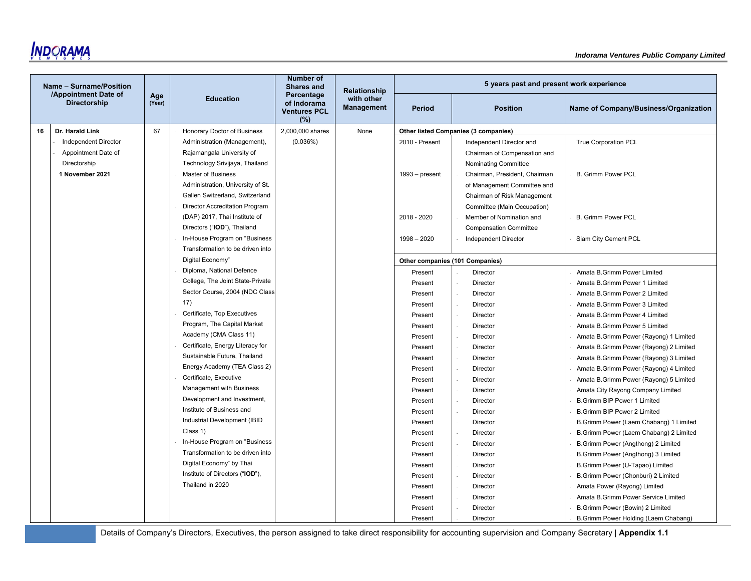|    | Name - Surname/Position                     |               |                                   | <b>Number of</b><br><b>Shares and</b>                   | <b>Relationship</b>             |                                 | 5 years past and present work experience |                                        |
|----|---------------------------------------------|---------------|-----------------------------------|---------------------------------------------------------|---------------------------------|---------------------------------|------------------------------------------|----------------------------------------|
|    | /Appointment Date of<br><b>Directorship</b> | Age<br>(Year) | <b>Education</b>                  | Percentage<br>of Indorama<br><b>Ventures PCL</b><br>(%) | with other<br><b>Management</b> | <b>Period</b>                   | <b>Position</b>                          | Name of Company/Business/Organization  |
| 16 | Dr. Harald Link                             | 67            | Honorary Doctor of Business       | 2,000,000 shares                                        | None                            |                                 | Other listed Companies (3 companies)     |                                        |
|    | <b>Independent Director</b>                 |               | Administration (Management),      | (0.036%)                                                |                                 | 2010 - Present                  | Independent Director and                 | <b>True Corporation PCL</b>            |
|    | Appointment Date of                         |               | Rajamangala University of         |                                                         |                                 |                                 | Chairman of Compensation and             |                                        |
|    | Directorship                                |               | Technology Srivijaya, Thailand    |                                                         |                                 |                                 | <b>Nominating Committee</b>              |                                        |
|    | 1 November 2021                             |               | Master of Business                |                                                         |                                 | $1993 - present$                | Chairman, President, Chairman            | <b>B. Grimm Power PCL</b>              |
|    |                                             |               | Administration, University of St. |                                                         |                                 |                                 | of Management Committee and              |                                        |
|    |                                             |               | Gallen Switzerland, Switzerland   |                                                         |                                 |                                 | Chairman of Risk Management              |                                        |
|    |                                             |               | Director Accreditation Program    |                                                         |                                 |                                 | Committee (Main Occupation)              |                                        |
|    |                                             |               | (DAP) 2017, Thai Institute of     |                                                         |                                 | 2018 - 2020                     | Member of Nomination and                 | <b>B. Grimm Power PCL</b>              |
|    |                                             |               | Directors ("IOD"), Thailand       |                                                         |                                 |                                 | <b>Compensation Committee</b>            |                                        |
|    |                                             |               | In-House Program on "Business     |                                                         |                                 | $1998 - 2020$                   | Independent Director                     | Siam City Cement PCL                   |
|    |                                             |               | Transformation to be driven into  |                                                         |                                 |                                 |                                          |                                        |
|    |                                             |               | Digital Economy"                  |                                                         |                                 | Other companies (101 Companies) |                                          |                                        |
|    |                                             |               | Diploma, National Defence         |                                                         |                                 | Present                         | Director                                 | Amata B.Grimm Power Limited            |
|    |                                             |               | College, The Joint State-Private  |                                                         |                                 | Present                         | Director                                 | Amata B. Grimm Power 1 Limited         |
|    |                                             |               | Sector Course, 2004 (NDC Class    |                                                         |                                 | Present                         | Director                                 | Amata B. Grimm Power 2 Limited         |
|    |                                             |               | 17)                               |                                                         |                                 | Present                         | Director                                 | Amata B.Grimm Power 3 Limited          |
|    |                                             |               | Certificate, Top Executives       |                                                         |                                 | Present                         | Director                                 | Amata B.Grimm Power 4 Limited          |
|    |                                             |               | Program, The Capital Market       |                                                         |                                 | Present                         | Director                                 | Amata B.Grimm Power 5 Limited          |
|    |                                             |               | Academy (CMA Class 11)            |                                                         |                                 | Present                         | Director                                 | Amata B.Grimm Power (Rayong) 1 Limited |
|    |                                             |               | Certificate, Energy Literacy for  |                                                         |                                 | Present                         | Director                                 | Amata B.Grimm Power (Rayong) 2 Limited |
|    |                                             |               | Sustainable Future, Thailand      |                                                         |                                 | Present                         | Director                                 | Amata B.Grimm Power (Rayong) 3 Limited |
|    |                                             |               | Energy Academy (TEA Class 2)      |                                                         |                                 | Present                         | Director                                 | Amata B.Grimm Power (Rayong) 4 Limited |
|    |                                             |               | Certificate, Executive            |                                                         |                                 | Present                         | Director<br>×.                           | Amata B.Grimm Power (Rayong) 5 Limited |
|    |                                             |               | Management with Business          |                                                         |                                 | Present                         | Director                                 | Amata City Rayong Company Limited      |
|    |                                             |               | Development and Investment,       |                                                         |                                 | Present                         | Director                                 | B.Grimm BIP Power 1 Limited            |
|    |                                             |               | Institute of Business and         |                                                         |                                 | Present                         | Director                                 | <b>B.Grimm BIP Power 2 Limited</b>     |
|    |                                             |               | Industrial Development (IBID      |                                                         |                                 | Present                         | Director                                 | B.Grimm Power (Laem Chabang) 1 Limited |
|    |                                             |               | Class 1)                          |                                                         |                                 | Present                         | Director                                 | B.Grimm Power (Laem Chabang) 2 Limited |
|    |                                             |               | In-House Program on "Business     |                                                         |                                 | Present                         | Director                                 | B.Grimm Power (Angthong) 2 Limited     |
|    |                                             |               | Transformation to be driven into  |                                                         |                                 | Present                         | Director                                 | B.Grimm Power (Angthong) 3 Limited     |
|    |                                             |               | Digital Economy" by Thai          |                                                         |                                 | Present                         | Director                                 | B.Grimm Power (U-Tapao) Limited        |
|    |                                             |               | Institute of Directors ("IOD"),   |                                                         |                                 | Present                         | Director<br>$\sim$                       | B.Grimm Power (Chonburi) 2 Limited     |
|    |                                             |               | Thailand in 2020                  |                                                         |                                 | Present                         | Director                                 | Amata Power (Rayong) Limited           |
|    |                                             |               |                                   |                                                         |                                 | Present                         | Director                                 | Amata B.Grimm Power Service Limited    |
|    |                                             |               |                                   |                                                         |                                 | Present                         | Director                                 | B.Grimm Power (Bowin) 2 Limited        |
|    |                                             |               |                                   |                                                         |                                 | Present                         | Director                                 | B. Grimm Power Holding (Laem Chabang)  |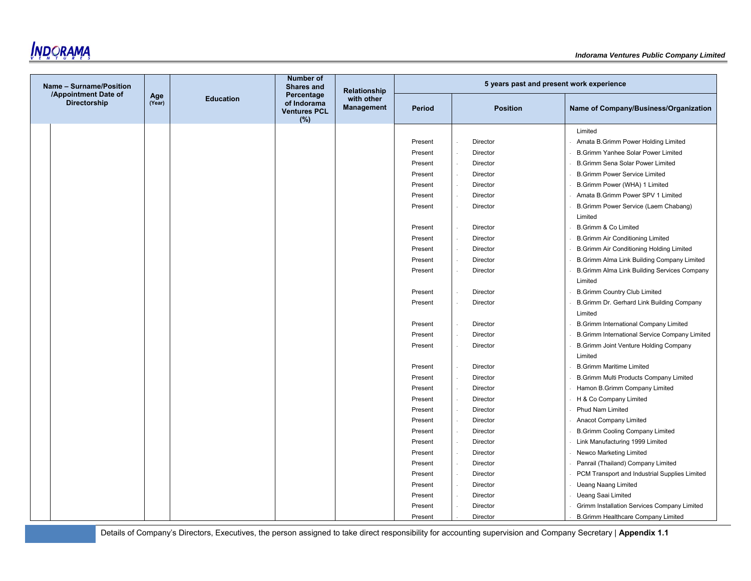**INDORAMA** 

| Name - Surname/Position                     |               |                  | <b>Number of</b><br><b>Shares and</b>                   | <b>Relationship</b>             |               | 5 years past and present work experience |                                                         |
|---------------------------------------------|---------------|------------------|---------------------------------------------------------|---------------------------------|---------------|------------------------------------------|---------------------------------------------------------|
| /Appointment Date of<br><b>Directorship</b> | Age<br>(Year) | <b>Education</b> | Percentage<br>of Indorama<br><b>Ventures PCL</b><br>(%) | with other<br><b>Management</b> | <b>Period</b> | <b>Position</b>                          | Name of Company/Business/Organization                   |
|                                             |               |                  |                                                         |                                 |               |                                          | Limited                                                 |
|                                             |               |                  |                                                         |                                 | Present       | Director                                 | Amata B.Grimm Power Holding Limited                     |
|                                             |               |                  |                                                         |                                 | Present       | Director                                 | <b>B.Grimm Yanhee Solar Power Limited</b>               |
|                                             |               |                  |                                                         |                                 | Present       | Director                                 | <b>B.Grimm Sena Solar Power Limited</b>                 |
|                                             |               |                  |                                                         |                                 | Present       | Director                                 | <b>B.Grimm Power Service Limited</b>                    |
|                                             |               |                  |                                                         |                                 | Present       | Director                                 | B.Grimm Power (WHA) 1 Limited                           |
|                                             |               |                  |                                                         |                                 | Present       | Director                                 | Amata B.Grimm Power SPV 1 Limited                       |
|                                             |               |                  |                                                         |                                 | Present       | Director                                 | B.Grimm Power Service (Laem Chabang)<br>Limited         |
|                                             |               |                  |                                                         |                                 | Present       | Director                                 | <b>B.Grimm &amp; Co Limited</b>                         |
|                                             |               |                  |                                                         |                                 | Present       | Director                                 | <b>B.Grimm Air Conditioning Limited</b>                 |
|                                             |               |                  |                                                         |                                 | Present       | Director                                 | <b>B.Grimm Air Conditioning Holding Limited</b>         |
|                                             |               |                  |                                                         |                                 | Present       | Director                                 | B.Grimm Alma Link Building Company Limited              |
|                                             |               |                  |                                                         |                                 | Present       | Director                                 | B.Grimm Alma Link Building Services Company<br>Limited  |
|                                             |               |                  |                                                         |                                 | Present       | Director                                 | <b>B.Grimm Country Club Limited</b>                     |
|                                             |               |                  |                                                         |                                 | Present       | Director                                 | B.Grimm Dr. Gerhard Link Building Company<br>Limited    |
|                                             |               |                  |                                                         |                                 | Present       | Director                                 | <b>B.Grimm International Company Limited</b>            |
|                                             |               |                  |                                                         |                                 | Present       | Director                                 | B.Grimm International Service Company Limited           |
|                                             |               |                  |                                                         |                                 | Present       | Director                                 | <b>B.Grimm Joint Venture Holding Company</b><br>Limited |
|                                             |               |                  |                                                         |                                 | Present       | Director                                 | <b>B.Grimm Maritime Limited</b>                         |
|                                             |               |                  |                                                         |                                 | Present       | Director                                 | B.Grimm Multi Products Company Limited                  |
|                                             |               |                  |                                                         |                                 | Present       | Director                                 | Hamon B.Grimm Company Limited                           |
|                                             |               |                  |                                                         |                                 | Present       | Director                                 | H & Co Company Limited                                  |
|                                             |               |                  |                                                         |                                 | Present       | Director                                 | <b>Phud Nam Limited</b>                                 |
|                                             |               |                  |                                                         |                                 | Present       | Director                                 | Anacot Company Limited                                  |
|                                             |               |                  |                                                         |                                 | Present       | Director                                 | <b>B.Grimm Cooling Company Limited</b>                  |
|                                             |               |                  |                                                         |                                 | Present       | Director                                 | Link Manufacturing 1999 Limited                         |
|                                             |               |                  |                                                         |                                 | Present       | Director                                 | Newco Marketing Limited                                 |
|                                             |               |                  |                                                         |                                 | Present       | Director                                 | Panrail (Thailand) Company Limited                      |
|                                             |               |                  |                                                         |                                 | Present       | Director                                 | PCM Transport and Industrial Supplies Limited           |
|                                             |               |                  |                                                         |                                 | Present       | Director                                 | <b>Ueang Naang Limited</b>                              |
|                                             |               |                  |                                                         |                                 | Present       | Director                                 | <b>Ueang Saai Limited</b>                               |
|                                             |               |                  |                                                         |                                 | Present       | Director                                 | Grimm Installation Services Company Limited             |
|                                             |               |                  |                                                         |                                 | Present       | Director                                 | <b>B.Grimm Healthcare Company Limited</b>               |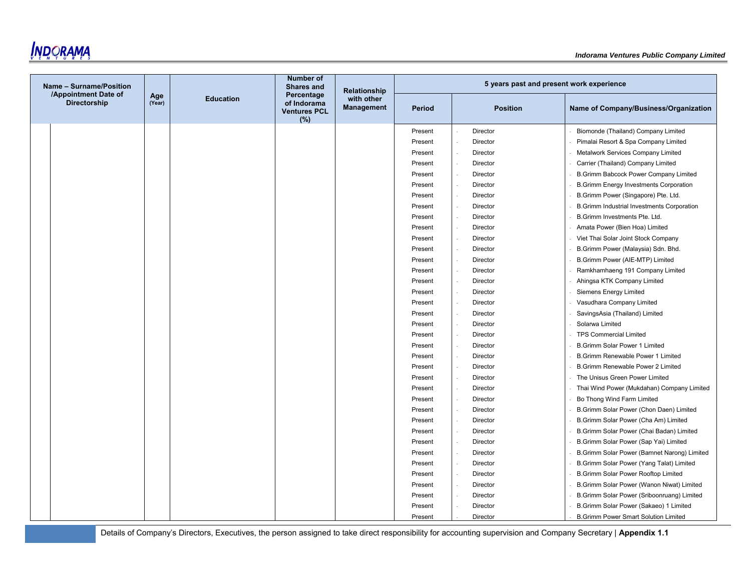**INDORAMA** 

| Name - Surname/Position              |               |                  | <b>Number of</b><br><b>Shares and</b>                   | <b>Relationship</b>             |         | 5 years past and present work experience |                                                   |
|--------------------------------------|---------------|------------------|---------------------------------------------------------|---------------------------------|---------|------------------------------------------|---------------------------------------------------|
| /Appointment Date of<br>Directorship | Age<br>(Year) | <b>Education</b> | Percentage<br>of Indorama<br><b>Ventures PCL</b><br>(%) | with other<br><b>Management</b> | Period  | <b>Position</b>                          | Name of Company/Business/Organization             |
|                                      |               |                  |                                                         |                                 | Present | Director                                 | Biomonde (Thailand) Company Limited               |
|                                      |               |                  |                                                         |                                 | Present | Director                                 | Pimalai Resort & Spa Company Limited              |
|                                      |               |                  |                                                         |                                 | Present | Director                                 | Metalwork Services Company Limited                |
|                                      |               |                  |                                                         |                                 | Present | Director                                 | Carrier (Thailand) Company Limited                |
|                                      |               |                  |                                                         |                                 | Present | <b>Director</b>                          | B.Grimm Babcock Power Company Limited             |
|                                      |               |                  |                                                         |                                 | Present | Director                                 | <b>B.Grimm Energy Investments Corporation</b>     |
|                                      |               |                  |                                                         |                                 | Present | Director                                 | B.Grimm Power (Singapore) Pte. Ltd.               |
|                                      |               |                  |                                                         |                                 | Present | Director                                 | <b>B.Grimm Industrial Investments Corporation</b> |
|                                      |               |                  |                                                         |                                 | Present | Director                                 | B.Grimm Investments Pte. Ltd.                     |
|                                      |               |                  |                                                         |                                 | Present | Director                                 | Amata Power (Bien Hoa) Limited                    |
|                                      |               |                  |                                                         |                                 | Present | Director                                 | Viet Thai Solar Joint Stock Company               |
|                                      |               |                  |                                                         |                                 | Present | Director                                 | B.Grimm Power (Malaysia) Sdn. Bhd.                |
|                                      |               |                  |                                                         |                                 | Present | Director                                 | B.Grimm Power (AIE-MTP) Limited                   |
|                                      |               |                  |                                                         |                                 | Present | Director                                 | Ramkhamhaeng 191 Company Limited                  |
|                                      |               |                  |                                                         |                                 | Present | Director                                 | Ahingsa KTK Company Limited                       |
|                                      |               |                  |                                                         |                                 | Present | Director                                 | Siemens Energy Limited                            |
|                                      |               |                  |                                                         |                                 | Present | Director                                 | Vasudhara Company Limited                         |
|                                      |               |                  |                                                         |                                 | Present | <b>Director</b>                          | SavingsAsia (Thailand) Limited                    |
|                                      |               |                  |                                                         |                                 | Present | Director                                 | Solarwa Limited                                   |
|                                      |               |                  |                                                         |                                 | Present | Director                                 | <b>TPS Commercial Limited</b>                     |
|                                      |               |                  |                                                         |                                 | Present | Director                                 | <b>B.Grimm Solar Power 1 Limited</b>              |
|                                      |               |                  |                                                         |                                 | Present | Director                                 | <b>B.Grimm Renewable Power 1 Limited</b>          |
|                                      |               |                  |                                                         |                                 | Present | Director                                 | <b>B.Grimm Renewable Power 2 Limited</b>          |
|                                      |               |                  |                                                         |                                 | Present | Director                                 | The Unisus Green Power Limited                    |
|                                      |               |                  |                                                         |                                 | Present | Director                                 | Thai Wind Power (Mukdahan) Company Limited        |
|                                      |               |                  |                                                         |                                 | Present | Director                                 | Bo Thong Wind Farm Limited                        |
|                                      |               |                  |                                                         |                                 | Present | Director                                 | B.Grimm Solar Power (Chon Daen) Limited           |
|                                      |               |                  |                                                         |                                 | Present | Director                                 | B.Grimm Solar Power (Cha Am) Limited              |
|                                      |               |                  |                                                         |                                 | Present | Director                                 | B.Grimm Solar Power (Chai Badan) Limited          |
|                                      |               |                  |                                                         |                                 | Present | Director                                 | B.Grimm Solar Power (Sap Yai) Limited             |
|                                      |               |                  |                                                         |                                 | Present | Director                                 | B.Grimm Solar Power (Bamnet Narong) Limited       |
|                                      |               |                  |                                                         |                                 | Present | Director                                 | B.Grimm Solar Power (Yang Talat) Limited          |
|                                      |               |                  |                                                         |                                 | Present | Director                                 | <b>B.Grimm Solar Power Rooftop Limited</b>        |
|                                      |               |                  |                                                         |                                 | Present | Director                                 | B.Grimm Solar Power (Wanon Niwat) Limited         |
|                                      |               |                  |                                                         |                                 | Present | Director                                 | B.Grimm Solar Power (Sriboonruang) Limited        |
|                                      |               |                  |                                                         |                                 | Present | Director                                 | B. Grimm Solar Power (Sakaeo) 1 Limited           |
|                                      |               |                  |                                                         |                                 | Present | Director                                 | <b>B.Grimm Power Smart Solution Limited</b>       |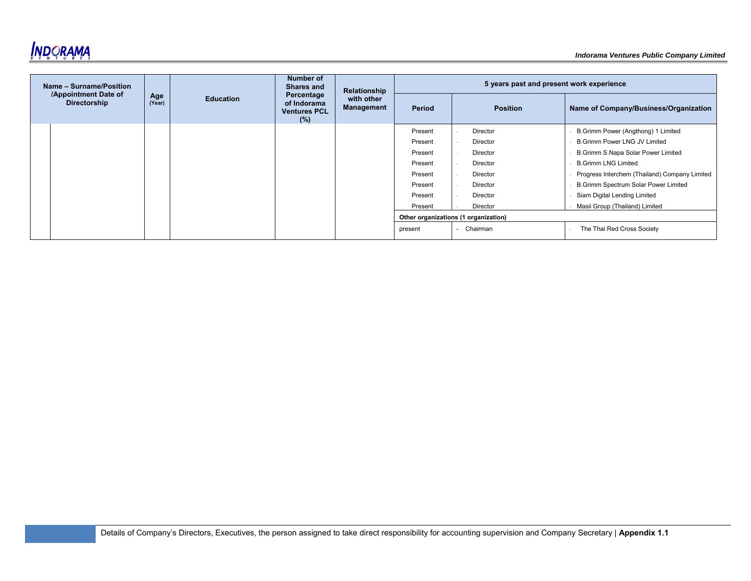

| Name - Surname/Position                     |               | Number of<br><b>Shares and</b><br>Relationship<br>Percentage |                                           | 5 years past and present work experience |                                      |                 |                                               |
|---------------------------------------------|---------------|--------------------------------------------------------------|-------------------------------------------|------------------------------------------|--------------------------------------|-----------------|-----------------------------------------------|
| /Appointment Date of<br><b>Directorship</b> | Age<br>(Year) | <b>Education</b>                                             | of Indorama<br><b>Ventures PCL</b><br>(%) | with other<br>Management                 | Period                               | <b>Position</b> | Name of Company/Business/Organization         |
|                                             |               |                                                              |                                           |                                          | Present                              | Director        | B.Grimm Power (Angthong) 1 Limited            |
|                                             |               |                                                              |                                           |                                          | Present                              | Director        | <b>B.Grimm Power LNG JV Limited</b>           |
|                                             |               |                                                              |                                           |                                          | Present                              | Director        | B.Grimm S.Napa Solar Power Limited            |
|                                             |               |                                                              |                                           |                                          | Present                              | Director        | <b>B.Grimm LNG Limited</b>                    |
|                                             |               |                                                              |                                           |                                          | Present                              | Director        | Progress Interchem (Thailand) Company Limited |
|                                             |               |                                                              |                                           |                                          | Present                              | Director        | B.Grimm Spectrum Solar Power Limited          |
|                                             |               |                                                              |                                           |                                          | Present                              | Director        | Siam Digital Lending Limited                  |
|                                             |               |                                                              |                                           |                                          | Present                              | Director        | Masii Group (Thailand) Limited                |
|                                             |               |                                                              |                                           |                                          | Other organizations (1 organization) |                 |                                               |
|                                             |               |                                                              |                                           |                                          | present                              | Chairman        | The Thai Red Cross Society                    |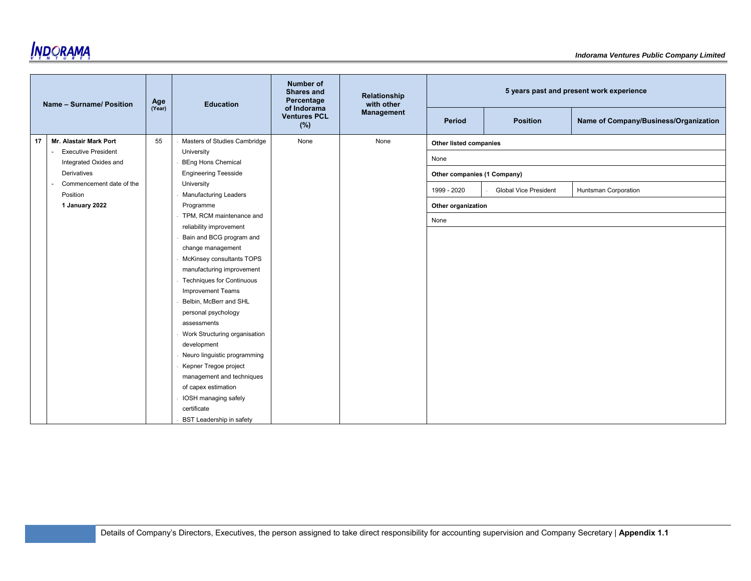

|    | Name - Surname/ Position   | Age    | <b>Education</b>                             | <b>Number of</b><br><b>Shares and</b><br>Percentage | Relationship<br>with other |                             |                              | 5 years past and present work experience |
|----|----------------------------|--------|----------------------------------------------|-----------------------------------------------------|----------------------------|-----------------------------|------------------------------|------------------------------------------|
|    |                            | (Year) |                                              | of Indorama<br><b>Ventures PCL</b><br>(%)           | Management                 | Period                      | <b>Position</b>              | Name of Company/Business/Organization    |
| 17 | Mr. Alastair Mark Port     | 55     | Masters of Studies Cambridge                 | None                                                | None                       | Other listed companies      |                              |                                          |
|    | <b>Executive President</b> |        | University                                   |                                                     |                            |                             |                              |                                          |
|    | Integrated Oxides and      |        | <b>BEng Hons Chemical</b>                    |                                                     |                            | None                        |                              |                                          |
|    | Derivatives                |        | <b>Engineering Teesside</b>                  |                                                     |                            | Other companies (1 Company) |                              |                                          |
|    | Commencement date of the   |        | University                                   |                                                     |                            | 1999 - 2020                 | <b>Global Vice President</b> | Huntsman Corporation                     |
|    | Position                   |        | <b>Manufacturing Leaders</b>                 |                                                     |                            |                             |                              |                                          |
|    | 1 January 2022             |        | Programme                                    |                                                     |                            | Other organization          |                              |                                          |
|    |                            |        | TPM, RCM maintenance and                     |                                                     |                            | None                        |                              |                                          |
|    |                            |        | reliability improvement                      |                                                     |                            |                             |                              |                                          |
|    |                            |        | Bain and BCG program and                     |                                                     |                            |                             |                              |                                          |
|    |                            |        | change management                            |                                                     |                            |                             |                              |                                          |
|    |                            |        | McKinsey consultants TOPS                    |                                                     |                            |                             |                              |                                          |
|    |                            |        | manufacturing improvement                    |                                                     |                            |                             |                              |                                          |
|    |                            |        | <b>Techniques for Continuous</b>             |                                                     |                            |                             |                              |                                          |
|    |                            |        | <b>Improvement Teams</b>                     |                                                     |                            |                             |                              |                                          |
|    |                            |        | Belbin, McBerr and SHL                       |                                                     |                            |                             |                              |                                          |
|    |                            |        | personal psychology                          |                                                     |                            |                             |                              |                                          |
|    |                            |        | assessments                                  |                                                     |                            |                             |                              |                                          |
|    |                            |        | Work Structuring organisation<br>development |                                                     |                            |                             |                              |                                          |
|    |                            |        | Neuro linguistic programming                 |                                                     |                            |                             |                              |                                          |
|    |                            |        | Kepner Tregoe project                        |                                                     |                            |                             |                              |                                          |
|    |                            |        | management and techniques                    |                                                     |                            |                             |                              |                                          |
|    |                            |        | of capex estimation                          |                                                     |                            |                             |                              |                                          |
|    |                            |        | IOSH managing safely                         |                                                     |                            |                             |                              |                                          |
|    |                            |        | certificate                                  |                                                     |                            |                             |                              |                                          |
|    |                            |        | <b>BST Leadership in safety</b>              |                                                     |                            |                             |                              |                                          |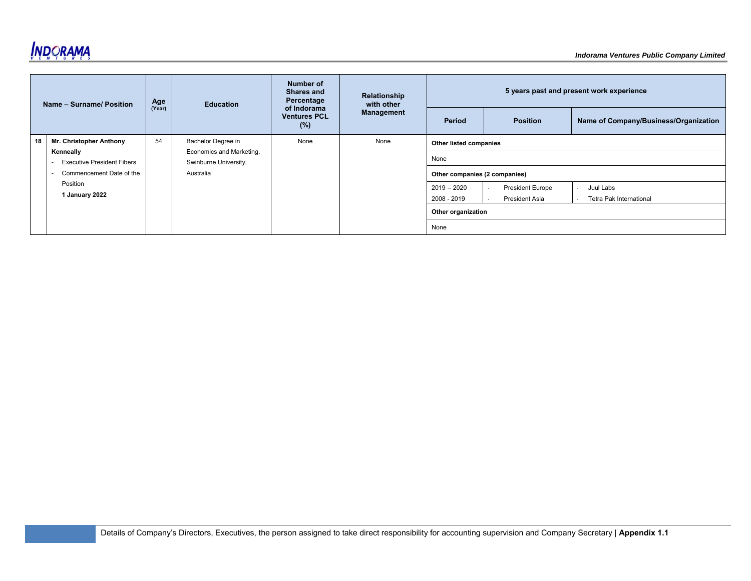

|    | Name - Surname/ Position                       | Age    | <b>Education</b>                                  | Number of<br><b>Shares and</b><br>Percentage | Relationship<br>with other |                               |                                                  | 5 years past and present work experience |
|----|------------------------------------------------|--------|---------------------------------------------------|----------------------------------------------|----------------------------|-------------------------------|--------------------------------------------------|------------------------------------------|
|    |                                                | (Year) |                                                   | of Indorama<br><b>Ventures PCL</b><br>(%)    | <b>Management</b>          | Period                        | <b>Position</b>                                  | Name of Company/Business/Organization    |
| 18 | Mr. Christopher Anthony                        | 54     | Bachelor Degree in                                | None                                         | None                       | Other listed companies        |                                                  |                                          |
|    | Kenneally<br><b>Executive President Fibers</b> |        | Economics and Marketing,<br>Swinburne University, |                                              |                            | None                          |                                                  |                                          |
|    | Commencement Date of the                       |        | Australia                                         |                                              |                            | Other companies (2 companies) |                                                  |                                          |
|    | Position<br>1 January 2022                     |        |                                                   |                                              |                            | $2019 - 2020$<br>2008 - 2019  | <b>President Europe</b><br><b>President Asia</b> | Juul Labs<br>Tetra Pak International     |
|    |                                                |        |                                                   |                                              |                            | Other organization            |                                                  |                                          |
|    |                                                |        |                                                   |                                              |                            | None                          |                                                  |                                          |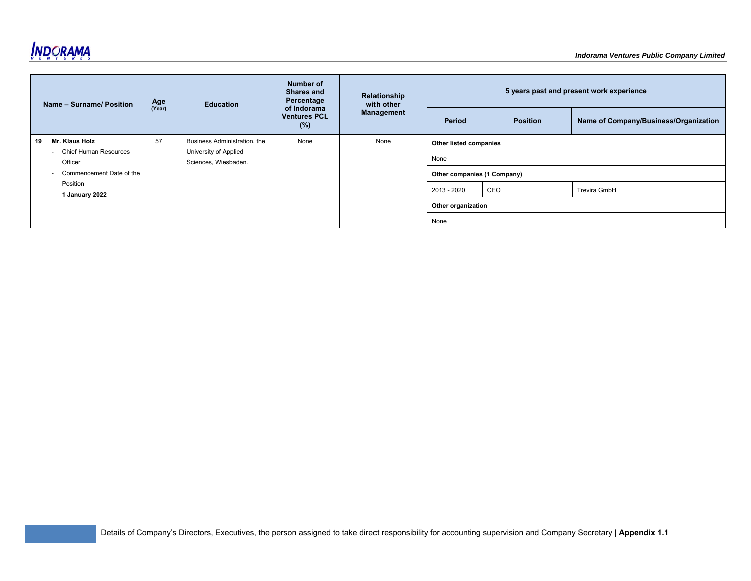

|    | Name - Surname/ Position                | Age    | <b>Education</b>                              | Number of<br><b>Shares and</b><br>Percentage | Relationship<br>with other |                             |                 | 5 years past and present work experience |
|----|-----------------------------------------|--------|-----------------------------------------------|----------------------------------------------|----------------------------|-----------------------------|-----------------|------------------------------------------|
|    |                                         | (Year) |                                               | of Indorama<br><b>Ventures PCL</b><br>(%)    | Management                 | Period                      | <b>Position</b> | Name of Company/Business/Organization    |
| 19 | Mr. Klaus Holz                          | 57     | Business Administration, the                  | None                                         | None                       | Other listed companies      |                 |                                          |
|    | <b>Chief Human Resources</b><br>Officer |        | University of Applied<br>Sciences, Wiesbaden. |                                              |                            | None                        |                 |                                          |
|    | Commencement Date of the                |        |                                               |                                              |                            | Other companies (1 Company) |                 |                                          |
|    | Position<br>1 January 2022              |        |                                               |                                              |                            | 2013 - 2020                 | CEO             | Trevira GmbH                             |
|    |                                         |        |                                               |                                              |                            | Other organization          |                 |                                          |
|    |                                         |        |                                               |                                              |                            | None                        |                 |                                          |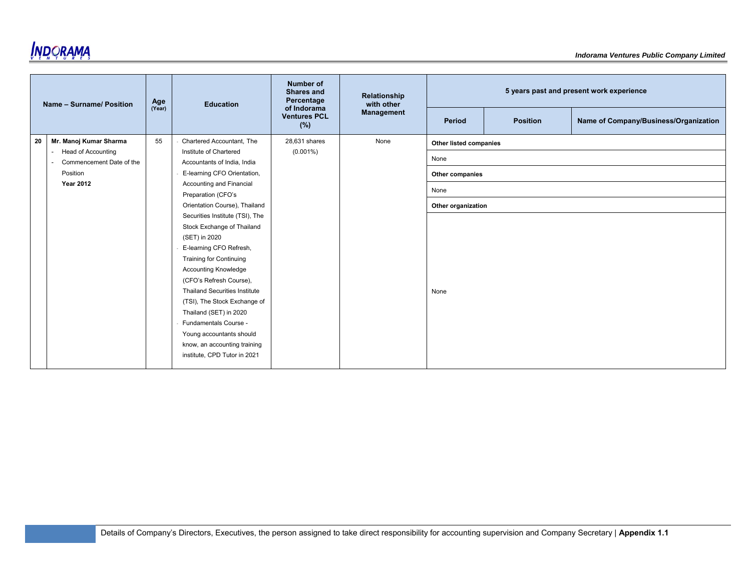

|    | Name - Surname/ Position                    | Age    | <b>Education</b>                     | <b>Number of</b><br><b>Shares and</b><br>Percentage | Relationship<br>with other |                        |                 | 5 years past and present work experience |
|----|---------------------------------------------|--------|--------------------------------------|-----------------------------------------------------|----------------------------|------------------------|-----------------|------------------------------------------|
|    |                                             | (Year) |                                      | of Indorama<br><b>Ventures PCL</b><br>(%)           | <b>Management</b>          | Period                 | <b>Position</b> | Name of Company/Business/Organization    |
| 20 | Mr. Manoj Kumar Sharma                      | 55     | Chartered Accountant, The            | 28,631 shares                                       | None                       | Other listed companies |                 |                                          |
|    | <b>Head of Accounting</b><br>$\blacksquare$ |        | Institute of Chartered               | $(0.001\%)$                                         |                            |                        |                 |                                          |
|    | Commencement Date of the<br>$\blacksquare$  |        | Accountants of India, India          |                                                     |                            | None                   |                 |                                          |
|    | Position                                    |        | E-learning CFO Orientation,          |                                                     |                            | Other companies        |                 |                                          |
|    | <b>Year 2012</b>                            |        | Accounting and Financial             |                                                     |                            | None                   |                 |                                          |
|    |                                             |        | Preparation (CFO's                   |                                                     |                            |                        |                 |                                          |
|    |                                             |        | Orientation Course), Thailand        |                                                     |                            | Other organization     |                 |                                          |
|    |                                             |        | Securities Institute (TSI), The      |                                                     |                            |                        |                 |                                          |
|    |                                             |        | Stock Exchange of Thailand           |                                                     |                            |                        |                 |                                          |
|    |                                             |        | (SET) in 2020                        |                                                     |                            |                        |                 |                                          |
|    |                                             |        | E-learning CFO Refresh,              |                                                     |                            |                        |                 |                                          |
|    |                                             |        | <b>Training for Continuing</b>       |                                                     |                            |                        |                 |                                          |
|    |                                             |        | <b>Accounting Knowledge</b>          |                                                     |                            |                        |                 |                                          |
|    |                                             |        | (CFO's Refresh Course),              |                                                     |                            |                        |                 |                                          |
|    |                                             |        | <b>Thailand Securities Institute</b> |                                                     |                            | None                   |                 |                                          |
|    |                                             |        | (TSI), The Stock Exchange of         |                                                     |                            |                        |                 |                                          |
|    |                                             |        | Thailand (SET) in 2020               |                                                     |                            |                        |                 |                                          |
|    |                                             |        | Fundamentals Course -                |                                                     |                            |                        |                 |                                          |
|    |                                             |        | Young accountants should             |                                                     |                            |                        |                 |                                          |
|    |                                             |        | know, an accounting training         |                                                     |                            |                        |                 |                                          |
|    |                                             |        | institute, CPD Tutor in 2021         |                                                     |                            |                        |                 |                                          |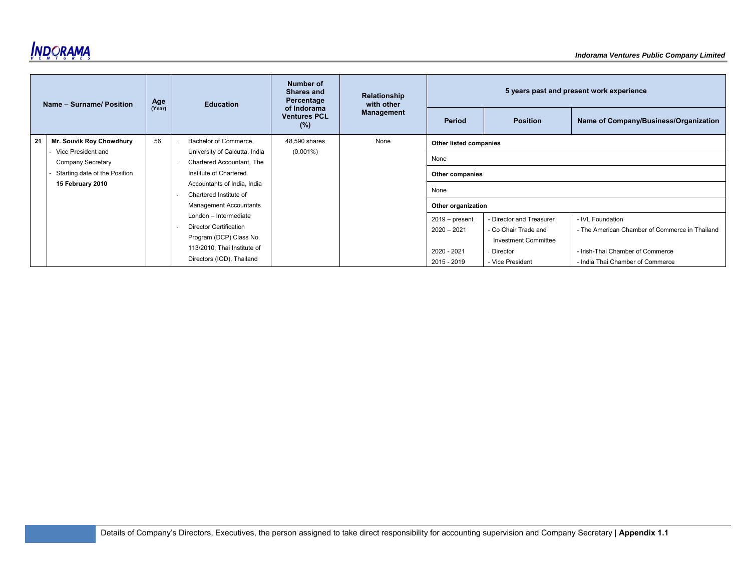

|    | Name - Surname/ Position      | Age    | <b>Education</b>              | Number of<br><b>Shares and</b><br>Percentage | Relationship<br>with other |                        |                             | 5 years past and present work experience       |
|----|-------------------------------|--------|-------------------------------|----------------------------------------------|----------------------------|------------------------|-----------------------------|------------------------------------------------|
|    |                               | (Year) |                               | of Indorama<br><b>Ventures PCL</b><br>(%)    | <b>Management</b>          | Period                 | <b>Position</b>             | Name of Company/Business/Organization          |
| 21 | Mr. Souvik Roy Chowdhury      | 56     | Bachelor of Commerce,         | 48,590 shares                                | None                       | Other listed companies |                             |                                                |
|    | Vice President and            |        | University of Calcutta, India | $(0.001\%)$                                  |                            | None                   |                             |                                                |
|    | Company Secretary             |        | Chartered Accountant. The     |                                              |                            |                        |                             |                                                |
|    | Starting date of the Position |        | Institute of Chartered        |                                              |                            | Other companies        |                             |                                                |
|    | 15 February 2010              |        | Accountants of India, India   |                                              |                            |                        |                             |                                                |
|    |                               |        | Chartered Institute of        |                                              |                            | None                   |                             |                                                |
|    |                               |        | <b>Management Accountants</b> |                                              |                            | Other organization     |                             |                                                |
|    |                               |        | London - Intermediate         |                                              |                            | $2019$ – present       | - Director and Treasurer    | - IVL Foundation                               |
|    |                               |        | <b>Director Certification</b> |                                              |                            | $2020 - 2021$          | - Co Chair Trade and        | - The American Chamber of Commerce in Thailand |
|    |                               |        | Program (DCP) Class No.       |                                              |                            |                        | <b>Investment Committee</b> |                                                |
|    |                               |        | 113/2010, Thai Institute of   |                                              |                            | 2020 - 2021            | Director                    | - Irish-Thai Chamber of Commerce               |
|    |                               |        | Directors (IOD), Thailand     |                                              |                            | 2015 - 2019            | - Vice President            | - India Thai Chamber of Commerce               |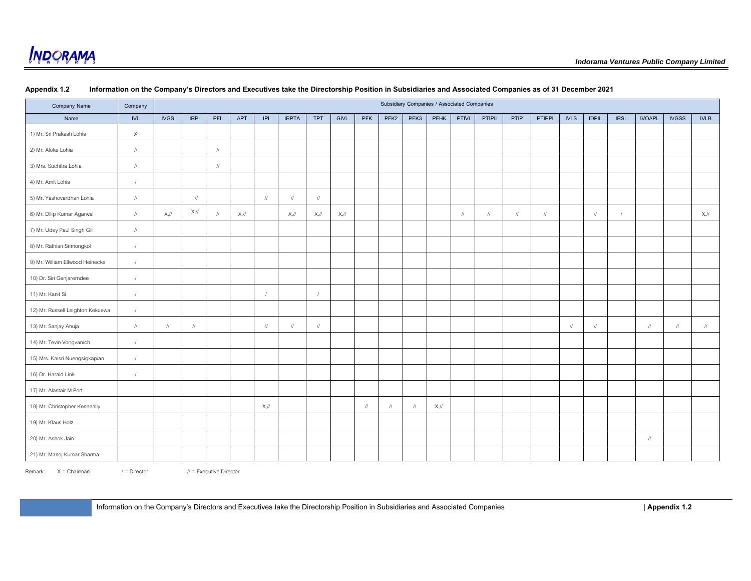| Company Name                     | Company                          |                   |                                  |                                  |            |               |                                  |                                    |         |            |                            |           | Subsidiary Companies / Associated Companies |                                  |                                  |                                  |                                  |                                  |                                  |             |               |              |               |
|----------------------------------|----------------------------------|-------------------|----------------------------------|----------------------------------|------------|---------------|----------------------------------|------------------------------------|---------|------------|----------------------------|-----------|---------------------------------------------|----------------------------------|----------------------------------|----------------------------------|----------------------------------|----------------------------------|----------------------------------|-------------|---------------|--------------|---------------|
| Name                             | <b>IVL</b>                       | <b>IVGS</b>       | <b>IRP</b>                       | PFL                              | <b>APT</b> | P             | <b>IRPTA</b>                     | <b>TPT</b>                         | GIVL    | PFK        | PFK <sub>2</sub>           | PFK3      | PFHK                                        | PTIVI                            | PTIPII                           | PTIP                             | <b>PTIPPI</b>                    | <b>IVLS</b>                      | <b>IDPIL</b>                     | <b>IRSL</b> | <b>IVOAPL</b> | <b>IVGSS</b> | <b>IVLB</b>   |
| 1) Mr. Sri Prakash Lohia         | $\mathsf X$                      |                   |                                  |                                  |            |               |                                  |                                    |         |            |                            |           |                                             |                                  |                                  |                                  |                                  |                                  |                                  |             |               |              |               |
| 2) Mr. Aloke Lohia               | $\sqrt{ }$                       |                   |                                  | $\ensuremath{\mathnormal{/\!/}}$ |            |               |                                  |                                    |         |            |                            |           |                                             |                                  |                                  |                                  |                                  |                                  |                                  |             |               |              |               |
| 3) Mrs. Suchitra Lohia           | $\ensuremath{\mathnormal{/\!/}}$ |                   |                                  | $\sqrt{}$                        |            |               |                                  |                                    |         |            |                            |           |                                             |                                  |                                  |                                  |                                  |                                  |                                  |             |               |              |               |
| 4) Mr. Amit Lohia                | $\sqrt{ }$                       |                   |                                  |                                  |            |               |                                  |                                    |         |            |                            |           |                                             |                                  |                                  |                                  |                                  |                                  |                                  |             |               |              |               |
| 5) Mr. Yashovardhan Lohia        | $\sqrt{ }$                       |                   | $^{\prime\prime}$                |                                  |            | $\frac{1}{2}$ | $\frac{1}{2}$                    | $\ensuremath{\mathit{III}}\xspace$ |         |            |                            |           |                                             |                                  |                                  |                                  |                                  |                                  |                                  |             |               |              |               |
| 6) Mr. Dilip Kumar Agarwal       | $\ensuremath{\mathnormal{/\!/}}$ | $X,$ //           | $X,$ //                          | $\sqrt{}$                        | $X,$ //    |               | $X,$ //                          | $X,$ //                            | $X,$ // |            |                            |           |                                             | $\ensuremath{\mathnormal{/\!/}}$ | $\ensuremath{\mathnormal{/\!/}}$ | $\ensuremath{\mathnormal{/\!/}}$ | $\ensuremath{\mathnormal{/\!/}}$ |                                  | $\ensuremath{\mathnormal{/\!/}}$ |             |               |              | $X,$ //       |
| 7) Mr. Udey Paul Singh Gill      | $\sqrt{ }$                       |                   |                                  |                                  |            |               |                                  |                                    |         |            |                            |           |                                             |                                  |                                  |                                  |                                  |                                  |                                  |             |               |              |               |
| 8) Mr. Rathian Srimongkol        | $\sqrt{ }$                       |                   |                                  |                                  |            |               |                                  |                                    |         |            |                            |           |                                             |                                  |                                  |                                  |                                  |                                  |                                  |             |               |              |               |
| 9) Mr. William Ellwood Heinecke  | $\sqrt{ }$                       |                   |                                  |                                  |            |               |                                  |                                    |         |            |                            |           |                                             |                                  |                                  |                                  |                                  |                                  |                                  |             |               |              |               |
| 10) Dr. Siri Ganjarerndee        | $\sqrt{ }$                       |                   |                                  |                                  |            |               |                                  |                                    |         |            |                            |           |                                             |                                  |                                  |                                  |                                  |                                  |                                  |             |               |              |               |
| 11) Mr. Kanit Si                 | $\sqrt{ }$                       |                   |                                  |                                  |            |               |                                  | $\sqrt{ }$                         |         |            |                            |           |                                             |                                  |                                  |                                  |                                  |                                  |                                  |             |               |              |               |
| 12) Mr. Russell Leighton Kekuewa | $\sqrt{ }$                       |                   |                                  |                                  |            |               |                                  |                                    |         |            |                            |           |                                             |                                  |                                  |                                  |                                  |                                  |                                  |             |               |              |               |
| 13) Mr. Sanjay Ahuja             | $\sqrt{ }$                       | $^{\prime\prime}$ | $\ensuremath{\mathnormal{/\!/}}$ |                                  |            | $\sqrt{ }$    | $\ensuremath{\mathnormal{/\!/}}$ | $\sqrt{ }$                         |         |            |                            |           |                                             |                                  |                                  |                                  |                                  | $\ensuremath{\mathnormal{/\!/}}$ | $\sqrt{ }$                       |             | $\sqrt{ }$    | $\prime$     | $\frac{1}{2}$ |
| 14) Mr. Tevin Vongvanich         | $\sqrt{ }$                       |                   |                                  |                                  |            |               |                                  |                                    |         |            |                            |           |                                             |                                  |                                  |                                  |                                  |                                  |                                  |             |               |              |               |
| 15) Mrs. Kaisri Nuengsigkapian   | $\sqrt{ }$                       |                   |                                  |                                  |            |               |                                  |                                    |         |            |                            |           |                                             |                                  |                                  |                                  |                                  |                                  |                                  |             |               |              |               |
| 16) Dr. Harald Link              | $\sqrt{ }$                       |                   |                                  |                                  |            |               |                                  |                                    |         |            |                            |           |                                             |                                  |                                  |                                  |                                  |                                  |                                  |             |               |              |               |
| 17) Mr. Alastair M Port          |                                  |                   |                                  |                                  |            |               |                                  |                                    |         |            |                            |           |                                             |                                  |                                  |                                  |                                  |                                  |                                  |             |               |              |               |
| 18) Mr. Christopher Kenneally    |                                  |                   |                                  |                                  |            | $X,$ //       |                                  |                                    |         | $\sqrt{ }$ | $\ensuremath{\mathit{II}}$ | $\sqrt{}$ | $X,$ //                                     |                                  |                                  |                                  |                                  |                                  |                                  |             |               |              |               |
| 19) Mr. Klaus Holz               |                                  |                   |                                  |                                  |            |               |                                  |                                    |         |            |                            |           |                                             |                                  |                                  |                                  |                                  |                                  |                                  |             |               |              |               |
| 20) Mr. Ashok Jain               |                                  |                   |                                  |                                  |            |               |                                  |                                    |         |            |                            |           |                                             |                                  |                                  |                                  |                                  |                                  |                                  |             | $\sqrt{ }$    |              |               |
| 21) Mr. Manoj Kumar Sharma       |                                  |                   |                                  |                                  |            |               |                                  |                                    |         |            |                            |           |                                             |                                  |                                  |                                  |                                  |                                  |                                  |             |               |              |               |

#### **Appendix 1.2 Information on the Company's Directors and Executives take the Directorship Position in Subsidiaries and Associated Companies as of 31 December 2021**

Remark: X = Chairman / = Director // = Executive Director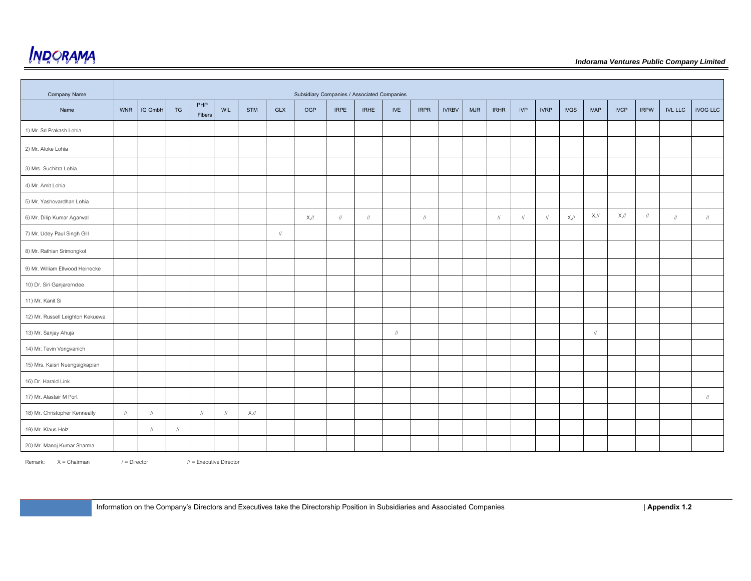

| <b>Company Name</b>              |                                  |               |                                  |               |               |            |               | Subsidiary Companies / Associated Companies |             |             |            |               |              |     |             |            |             |             |                   |             |             |                |                                  |
|----------------------------------|----------------------------------|---------------|----------------------------------|---------------|---------------|------------|---------------|---------------------------------------------|-------------|-------------|------------|---------------|--------------|-----|-------------|------------|-------------|-------------|-------------------|-------------|-------------|----------------|----------------------------------|
| Name                             | <b>WNR</b>                       | IG GmbH       | TG                               | PHP<br>Fibers | <b>WIL</b>    | <b>STM</b> | <b>GLX</b>    | OGP                                         | <b>IRPE</b> | <b>IRHE</b> | <b>IVE</b> | <b>IRPR</b>   | <b>IVRBV</b> | MJR | <b>IRHR</b> | <b>IVP</b> | <b>IVRP</b> | <b>IVQS</b> | <b>IVAP</b>       | <b>IVCP</b> | <b>IRPW</b> | <b>IVL LLC</b> | <b>IVOG LLC</b>                  |
| 1) Mr. Sri Prakash Lohia         |                                  |               |                                  |               |               |            |               |                                             |             |             |            |               |              |     |             |            |             |             |                   |             |             |                |                                  |
| 2) Mr. Aloke Lohia               |                                  |               |                                  |               |               |            |               |                                             |             |             |            |               |              |     |             |            |             |             |                   |             |             |                |                                  |
| 3) Mrs. Suchitra Lohia           |                                  |               |                                  |               |               |            |               |                                             |             |             |            |               |              |     |             |            |             |             |                   |             |             |                |                                  |
| 4) Mr. Amit Lohia                |                                  |               |                                  |               |               |            |               |                                             |             |             |            |               |              |     |             |            |             |             |                   |             |             |                |                                  |
| 5) Mr. Yashovardhan Lohia        |                                  |               |                                  |               |               |            |               |                                             |             |             |            |               |              |     |             |            |             |             |                   |             |             |                |                                  |
| 6) Mr. Dilip Kumar Agarwal       |                                  |               |                                  |               |               |            |               | $X,$ //                                     | $\sqrt{}$   | $\sqrt{}$   |            | $\frac{1}{2}$ |              |     | $\sqrt{}$   | $\sqrt{ }$ |             | $X,$ //     | $X,$ //           | $X,$ //     | $\sqrt{ }$  | $\frac{1}{2}$  | $\frac{1}{2}$                    |
| 7) Mr. Udey Paul Singh Gill      |                                  |               |                                  |               |               |            | $\frac{1}{2}$ |                                             |             |             |            |               |              |     |             |            |             |             |                   |             |             |                |                                  |
| 8) Mr. Rathian Srimongkol        |                                  |               |                                  |               |               |            |               |                                             |             |             |            |               |              |     |             |            |             |             |                   |             |             |                |                                  |
| 9) Mr. William Ellwood Heinecke  |                                  |               |                                  |               |               |            |               |                                             |             |             |            |               |              |     |             |            |             |             |                   |             |             |                |                                  |
| 10) Dr. Siri Ganjarerndee        |                                  |               |                                  |               |               |            |               |                                             |             |             |            |               |              |     |             |            |             |             |                   |             |             |                |                                  |
| 11) Mr. Kanit Si                 |                                  |               |                                  |               |               |            |               |                                             |             |             |            |               |              |     |             |            |             |             |                   |             |             |                |                                  |
| 12) Mr. Russell Leighton Kekuewa |                                  |               |                                  |               |               |            |               |                                             |             |             |            |               |              |     |             |            |             |             |                   |             |             |                |                                  |
| 13) Mr. Sanjay Ahuja             |                                  |               |                                  |               |               |            |               |                                             |             |             | $\sqrt{ }$ |               |              |     |             |            |             |             | $^{\prime\prime}$ |             |             |                |                                  |
| 14) Mr. Tevin Vongvanich         |                                  |               |                                  |               |               |            |               |                                             |             |             |            |               |              |     |             |            |             |             |                   |             |             |                |                                  |
| 15) Mrs. Kaisri Nuengsigkapian   |                                  |               |                                  |               |               |            |               |                                             |             |             |            |               |              |     |             |            |             |             |                   |             |             |                |                                  |
| 16) Dr. Harald Link              |                                  |               |                                  |               |               |            |               |                                             |             |             |            |               |              |     |             |            |             |             |                   |             |             |                |                                  |
| 17) Mr. Alastair M Port          |                                  |               |                                  |               |               |            |               |                                             |             |             |            |               |              |     |             |            |             |             |                   |             |             |                | $\ensuremath{\mathnormal{/\!/}}$ |
| 18) Mr. Christopher Kenneally    | $\ensuremath{\mathnormal{/\!/}}$ | $\frac{1}{2}$ |                                  | $\sqrt{ }$    | $\frac{1}{2}$ | $X,$ //    |               |                                             |             |             |            |               |              |     |             |            |             |             |                   |             |             |                |                                  |
| 19) Mr. Klaus Holz               |                                  | $\sqrt{2}$    | $\ensuremath{\mathnormal{/\!/}}$ |               |               |            |               |                                             |             |             |            |               |              |     |             |            |             |             |                   |             |             |                |                                  |
| 20) Mr. Manoj Kumar Sharma       |                                  |               |                                  |               |               |            |               |                                             |             |             |            |               |              |     |             |            |             |             |                   |             |             |                |                                  |

Remark:  $X = Chairman$  / = Director

 $\mathcal{U}$  = Executive Director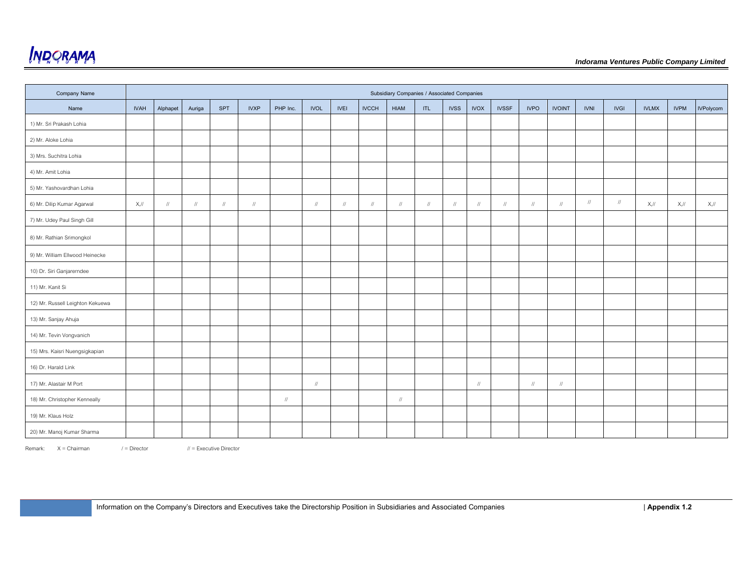

| <b>Company Name</b>              |             |            |            |            |             |               |               |             |              | Subsidiary Companies / Associated Companies |            |             |                                  |              |             |               |               |               |              |             |                  |
|----------------------------------|-------------|------------|------------|------------|-------------|---------------|---------------|-------------|--------------|---------------------------------------------|------------|-------------|----------------------------------|--------------|-------------|---------------|---------------|---------------|--------------|-------------|------------------|
| Name                             | <b>IVAH</b> | Alphapet   | Auriga     | SPT        | <b>IVXP</b> | PHP Inc.      | <b>IVOL</b>   | <b>IVEI</b> | <b>IVCCH</b> | <b>HIAM</b>                                 | ITL.       | <b>IVSS</b> | <b>IVOX</b>                      | <b>IVSSF</b> | <b>IVPO</b> | <b>IVOINT</b> | <b>IVNI</b>   | <b>IVGI</b>   | <b>IVLMX</b> | <b>IVPM</b> | <b>IVPolycom</b> |
| 1) Mr. Sri Prakash Lohia         |             |            |            |            |             |               |               |             |              |                                             |            |             |                                  |              |             |               |               |               |              |             |                  |
| 2) Mr. Aloke Lohia               |             |            |            |            |             |               |               |             |              |                                             |            |             |                                  |              |             |               |               |               |              |             |                  |
| 3) Mrs. Suchitra Lohia           |             |            |            |            |             |               |               |             |              |                                             |            |             |                                  |              |             |               |               |               |              |             |                  |
| 4) Mr. Amit Lohia                |             |            |            |            |             |               |               |             |              |                                             |            |             |                                  |              |             |               |               |               |              |             |                  |
| 5) Mr. Yashovardhan Lohia        |             |            |            |            |             |               |               |             |              |                                             |            |             |                                  |              |             |               |               |               |              |             |                  |
| 6) Mr. Dilip Kumar Agarwal       | $X,$ //     | $\sqrt{ }$ | $\sqrt{ }$ | $\sqrt{ }$ | $\sqrt{ }$  |               | $\sqrt{ }$    | $\sqrt{ }$  | $\sqrt{ }$   | $\sqrt{ }$                                  | $\sqrt{ }$ | $\sqrt{ }$  | $\sqrt{ }$                       | $\sqrt{}$    | $\sqrt{}$   | $\frac{1}{2}$ | $\frac{1}{2}$ | $\frac{1}{2}$ | $X,$ //      | $X,$ //     | $X,$ //          |
| 7) Mr. Udey Paul Singh Gill      |             |            |            |            |             |               |               |             |              |                                             |            |             |                                  |              |             |               |               |               |              |             |                  |
| 8) Mr. Rathian Srimongkol        |             |            |            |            |             |               |               |             |              |                                             |            |             |                                  |              |             |               |               |               |              |             |                  |
| 9) Mr. William Ellwood Heinecke  |             |            |            |            |             |               |               |             |              |                                             |            |             |                                  |              |             |               |               |               |              |             |                  |
| 10) Dr. Siri Ganjarerndee        |             |            |            |            |             |               |               |             |              |                                             |            |             |                                  |              |             |               |               |               |              |             |                  |
| 11) Mr. Kanit Si                 |             |            |            |            |             |               |               |             |              |                                             |            |             |                                  |              |             |               |               |               |              |             |                  |
| 12) Mr. Russell Leighton Kekuewa |             |            |            |            |             |               |               |             |              |                                             |            |             |                                  |              |             |               |               |               |              |             |                  |
| 13) Mr. Sanjay Ahuja             |             |            |            |            |             |               |               |             |              |                                             |            |             |                                  |              |             |               |               |               |              |             |                  |
| 14) Mr. Tevin Vongvanich         |             |            |            |            |             |               |               |             |              |                                             |            |             |                                  |              |             |               |               |               |              |             |                  |
| 15) Mrs. Kaisri Nuengsigkapian   |             |            |            |            |             |               |               |             |              |                                             |            |             |                                  |              |             |               |               |               |              |             |                  |
| 16) Dr. Harald Link              |             |            |            |            |             |               |               |             |              |                                             |            |             |                                  |              |             |               |               |               |              |             |                  |
| 17) Mr. Alastair M Port          |             |            |            |            |             |               | $\frac{1}{2}$ |             |              |                                             |            |             | $\ensuremath{\mathnormal{/\!/}}$ |              | $\sqrt{}$   | $\sqrt{}$     |               |               |              |             |                  |
| 18) Mr. Christopher Kenneally    |             |            |            |            |             | $\frac{1}{2}$ |               |             |              | $\sqrt{ }$                                  |            |             |                                  |              |             |               |               |               |              |             |                  |
| 19) Mr. Klaus Holz               |             |            |            |            |             |               |               |             |              |                                             |            |             |                                  |              |             |               |               |               |              |             |                  |
| 20) Mr. Manoj Kumar Sharma       |             |            |            |            |             |               |               |             |              |                                             |            |             |                                  |              |             |               |               |               |              |             |                  |

Remark: X = Chairman / = Director // = Executive Director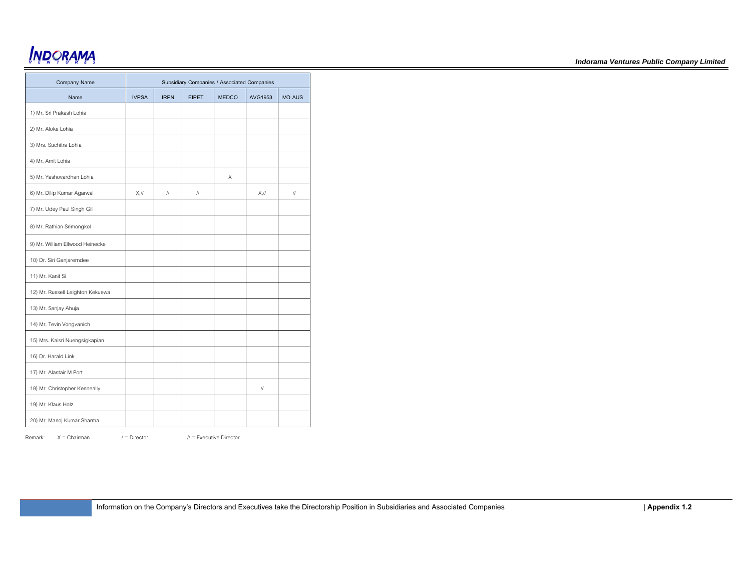| Company Name                     |                |             | Subsidiary Companies / Associated Companies |              |                   |                            |
|----------------------------------|----------------|-------------|---------------------------------------------|--------------|-------------------|----------------------------|
| Name                             | <b>IVPSA</b>   | <b>IRPN</b> | <b>FIPET</b>                                | <b>MEDCO</b> | AVG1953           | <b>IVO AUS</b>             |
| 1) Mr. Sri Prakash Lohia         |                |             |                                             |              |                   |                            |
| 2) Mr. Aloke Lohia               |                |             |                                             |              |                   |                            |
| 3) Mrs. Suchitra Lohia           |                |             |                                             |              |                   |                            |
| 4) Mr. Amit Lohia                |                |             |                                             |              |                   |                            |
| 5) Mr. Yashovardhan Lohia        |                |             |                                             | X            |                   |                            |
| 6) Mr. Dilip Kumar Agarwal       | $X_{\cdot}$ // | $\sqrt{}$   | $\ensuremath{\mathit{III}}\xspace$          |              | $X_{\mathcal{N}}$ | $\ensuremath{\mathit{II}}$ |
| 7) Mr. Udey Paul Singh Gill      |                |             |                                             |              |                   |                            |
| 8) Mr. Rathian Srimongkol        |                |             |                                             |              |                   |                            |
| 9) Mr. William Ellwood Heinecke  |                |             |                                             |              |                   |                            |
| 10) Dr. Siri Ganjarerndee        |                |             |                                             |              |                   |                            |
| 11) Mr. Kanit Si                 |                |             |                                             |              |                   |                            |
| 12) Mr. Russell Leighton Kekuewa |                |             |                                             |              |                   |                            |
| 13) Mr. Sanjay Ahuja             |                |             |                                             |              |                   |                            |
| 14) Mr. Tevin Vongvanich         |                |             |                                             |              |                   |                            |
| 15) Mrs. Kaisri Nuengsigkapian   |                |             |                                             |              |                   |                            |
| 16) Dr. Harald Link              |                |             |                                             |              |                   |                            |
| 17) Mr. Alastair M Port          |                |             |                                             |              |                   |                            |
| 18) Mr. Christopher Kenneally    |                |             |                                             |              | $\frac{1}{2}$     |                            |
| 19) Mr. Klaus Holz               |                |             |                                             |              |                   |                            |
| 20) Mr. Manoj Kumar Sharma       |                |             |                                             |              |                   |                            |

Remark: X = Chairman / = Director // = Executive Director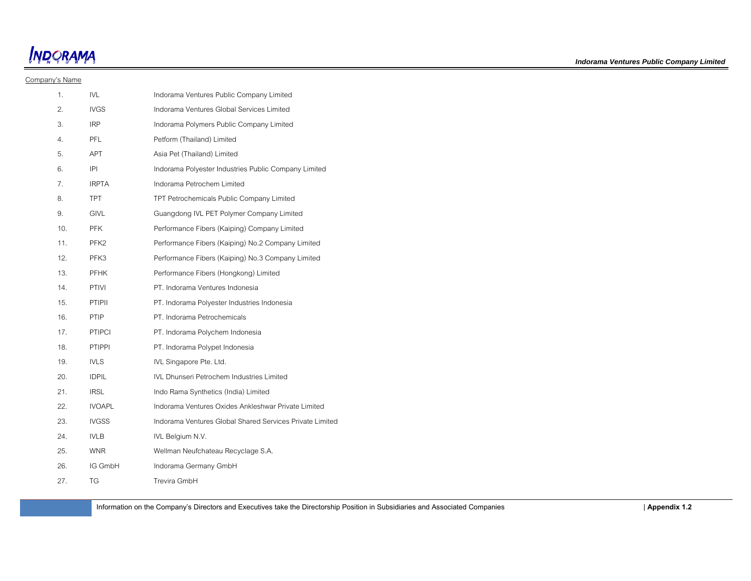**INDORAMA** 

#### Company's Name

| 1.  | <b>IVL</b>       | Indorama Ventures Public Company Limited                 |
|-----|------------------|----------------------------------------------------------|
| 2.  | <b>IVGS</b>      | Indorama Ventures Global Services Limited                |
| 3.  | <b>IRP</b>       | Indorama Polymers Public Company Limited                 |
| 4.  | <b>PFI</b>       | Petform (Thailand) Limited                               |
| 5.  | <b>APT</b>       | Asia Pet (Thailand) Limited                              |
| 6.  | IPI              | Indorama Polyester Industries Public Company Limited     |
| 7.  | <b>IRPTA</b>     | Indorama Petrochem Limited                               |
| 8.  | <b>TPT</b>       | TPT Petrochemicals Public Company Limited                |
| 9.  | <b>GIVL</b>      | Guangdong IVL PET Polymer Company Limited                |
| 10. | <b>PFK</b>       | Performance Fibers (Kaiping) Company Limited             |
| 11. | PFK <sub>2</sub> | Performance Fibers (Kaiping) No.2 Company Limited        |
| 12. | PFK3             | Performance Fibers (Kaiping) No.3 Company Limited        |
| 13. | <b>PFHK</b>      | Performance Fibers (Hongkong) Limited                    |
| 14. | <b>PTIVI</b>     | PT. Indorama Ventures Indonesia                          |
| 15. | <b>PTIPII</b>    | PT. Indorama Polyester Industries Indonesia              |
| 16. | <b>PTIP</b>      | PT. Indorama Petrochemicals                              |
| 17. | <b>PTIPCI</b>    | PT. Indorama Polychem Indonesia                          |
| 18. | PTIPPI           | PT. Indorama Polypet Indonesia                           |
| 19. | <b>IVLS</b>      | IVL Singapore Pte. Ltd.                                  |
| 20. | <b>IDPIL</b>     | <b>IVL Dhunseri Petrochem Industries Limited</b>         |
| 21. | <b>IRSL</b>      | Indo Rama Synthetics (India) Limited                     |
| 22. | <b>IVOAPL</b>    | Indorama Ventures Oxides Ankleshwar Private Limited      |
| 23. | <b>IVGSS</b>     | Indorama Ventures Global Shared Services Private Limited |
| 24. | <b>IVLB</b>      | IVL Belgium N.V.                                         |
| 25. | <b>WNR</b>       | Wellman Neufchateau Recyclage S.A.                       |
| 26. | IG GmbH          | Indorama Germany GmbH                                    |
| 27. | TG               | Trevira GmbH                                             |

Information on the Company's Directors and Executives take the Directorship Position in Subsidiaries and Associated Companies | **Appendix 1.2**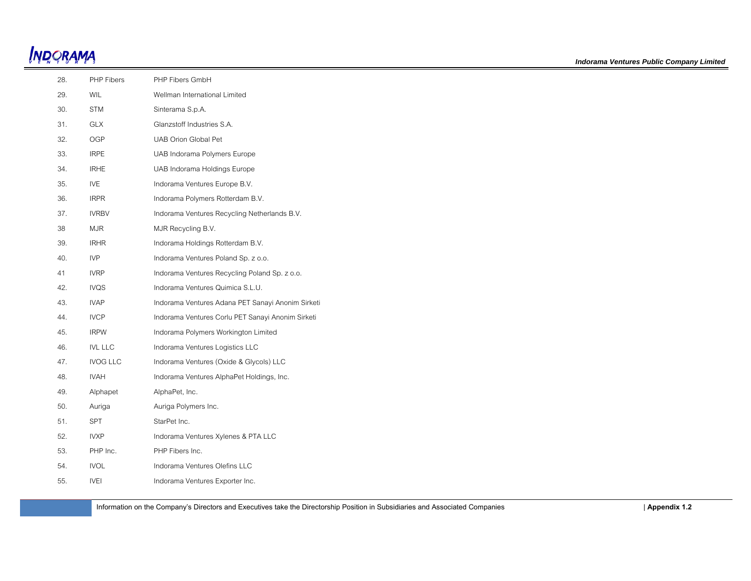| 28.    | PHP Fibers      | PHP Fibers GmbH                                   |
|--------|-----------------|---------------------------------------------------|
| 29.    | WIL             | Wellman International Limited                     |
| 30.    | <b>STM</b>      | Sinterama S.p.A.                                  |
| 31.    | <b>GLX</b>      | Glanzstoff Industries S.A.                        |
| 32.    | OGP             | UAB Orion Global Pet                              |
| 33.    | <b>IRPE</b>     | UAB Indorama Polymers Europe                      |
| 34.    | <b>IRHE</b>     | UAB Indorama Holdings Europe                      |
| 35.    | <b>IVE</b>      | Indorama Ventures Europe B.V.                     |
| 36.    | <b>IRPR</b>     | Indorama Polymers Rotterdam B.V.                  |
| 37.    | <b>IVRBV</b>    | Indorama Ventures Recycling Netherlands B.V.      |
| $38\,$ | <b>MJR</b>      | MJR Recycling B.V.                                |
| 39.    | <b>IRHR</b>     | Indorama Holdings Rotterdam B.V.                  |
| 40.    | <b>IVP</b>      | Indorama Ventures Poland Sp. z o.o.               |
| 41     | <b>IVRP</b>     | Indorama Ventures Recycling Poland Sp. z o.o.     |
| 42.    | <b>IVQS</b>     | Indorama Ventures Quimica S.L.U.                  |
| 43.    | <b>IVAP</b>     | Indorama Ventures Adana PET Sanayi Anonim Sirketi |
| 44.    | <b>IVCP</b>     | Indorama Ventures Corlu PET Sanayi Anonim Sirketi |
| 45.    | <b>IRPW</b>     | Indorama Polymers Workington Limited              |
| 46.    | <b>IVL LLC</b>  | Indorama Ventures Logistics LLC                   |
| 47.    | <b>IVOG LLC</b> | Indorama Ventures (Oxide & Glycols) LLC           |
| 48.    | <b>IVAH</b>     | Indorama Ventures AlphaPet Holdings, Inc.         |
| 49.    | Alphapet        | AlphaPet, Inc.                                    |
| 50.    | Auriga          | Auriga Polymers Inc.                              |
| 51.    | SPT             | StarPet Inc.                                      |
| 52.    | <b>IVXP</b>     | Indorama Ventures Xylenes & PTA LLC               |
| 53.    | PHP Inc.        | PHP Fibers Inc.                                   |
| 54.    | <b>IVOL</b>     | Indorama Ventures Olefins LLC                     |
| 55.    | <b>IVEI</b>     | Indorama Ventures Exporter Inc.                   |